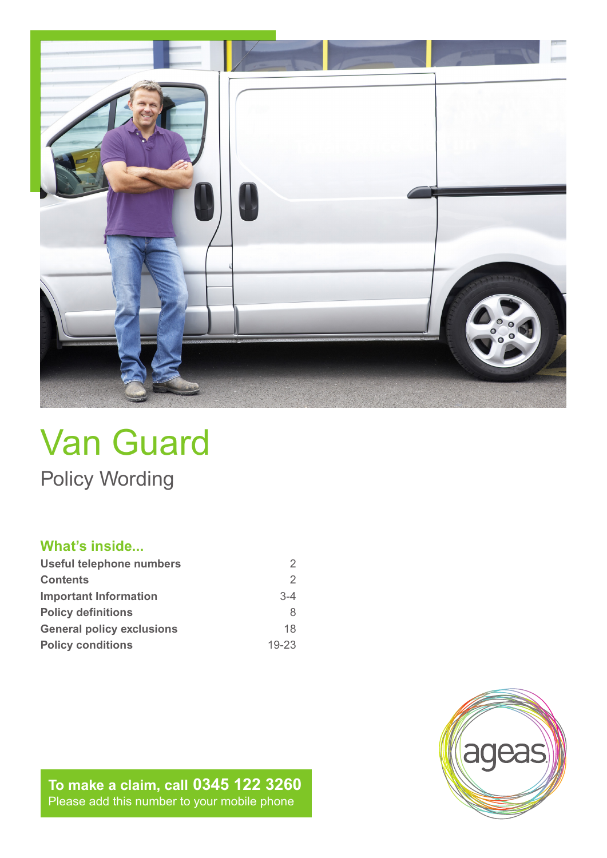

# Van Guard Policy Wording

# **What's inside...**

| Useful telephone numbers         |           |
|----------------------------------|-----------|
| <b>Contents</b>                  | 2         |
| <b>Important Information</b>     | $3 - 4$   |
| <b>Policy definitions</b>        | 8         |
| <b>General policy exclusions</b> | 18        |
| <b>Policy conditions</b>         | $19 - 23$ |

**To make a claim, call 0345 122 3260** Please add this number to your mobile phone

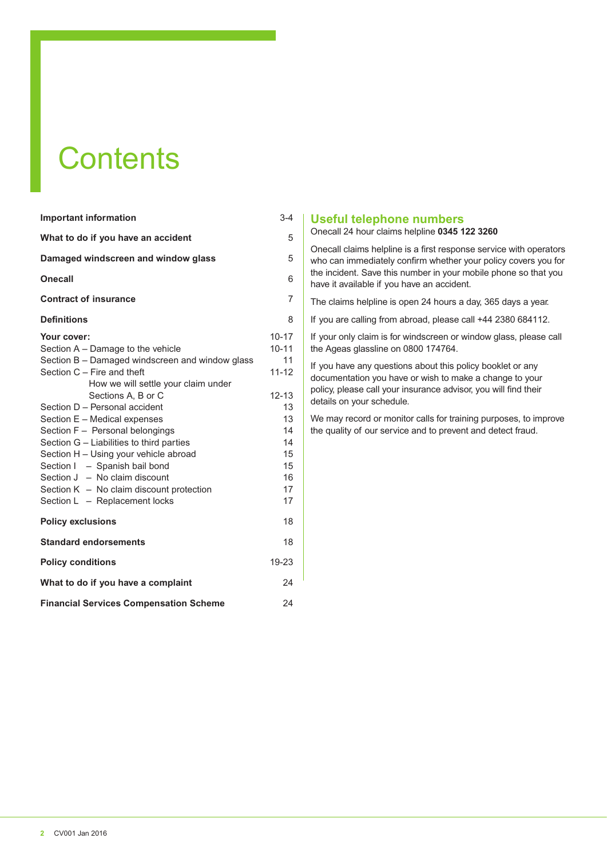# **Contents**

| <b>Important information</b>                                                                                                                                                                                                                                                                                                                                                                                                                                                                                                                 | $3 - 4$                                                                                                      |
|----------------------------------------------------------------------------------------------------------------------------------------------------------------------------------------------------------------------------------------------------------------------------------------------------------------------------------------------------------------------------------------------------------------------------------------------------------------------------------------------------------------------------------------------|--------------------------------------------------------------------------------------------------------------|
| What to do if you have an accident                                                                                                                                                                                                                                                                                                                                                                                                                                                                                                           | 5                                                                                                            |
| Damaged windscreen and window glass                                                                                                                                                                                                                                                                                                                                                                                                                                                                                                          | 5                                                                                                            |
| <b>Onecall</b>                                                                                                                                                                                                                                                                                                                                                                                                                                                                                                                               | 6                                                                                                            |
| <b>Contract of insurance</b>                                                                                                                                                                                                                                                                                                                                                                                                                                                                                                                 | $\overline{7}$                                                                                               |
| <b>Definitions</b>                                                                                                                                                                                                                                                                                                                                                                                                                                                                                                                           | 8                                                                                                            |
| Your cover:<br>Section A - Damage to the vehicle<br>Section B - Damaged windscreen and window glass<br>Section $C$ – Fire and theft<br>How we will settle your claim under<br>Sections A. B or C<br>Section D - Personal accident<br>Section E - Medical expenses<br>Section F - Personal belongings<br>Section G - Liabilities to third parties<br>Section H - Using your vehicle abroad<br>Section I - Spanish bail bond<br>Section $J - No$ claim discount<br>Section $K - No$ claim discount protection<br>Section L - Replacement locks | $10 - 17$<br>$10 - 11$<br>11<br>$11 - 12$<br>$12 - 13$<br>13<br>13<br>14<br>14<br>15<br>15<br>16<br>17<br>17 |
| <b>Policy exclusions</b>                                                                                                                                                                                                                                                                                                                                                                                                                                                                                                                     | 18                                                                                                           |
| <b>Standard endorsements</b>                                                                                                                                                                                                                                                                                                                                                                                                                                                                                                                 | 18                                                                                                           |
| <b>Policy conditions</b>                                                                                                                                                                                                                                                                                                                                                                                                                                                                                                                     | $19 - 23$                                                                                                    |
| What to do if you have a complaint                                                                                                                                                                                                                                                                                                                                                                                                                                                                                                           | 24                                                                                                           |
| <b>Financial Services Compensation Scheme</b>                                                                                                                                                                                                                                                                                                                                                                                                                                                                                                | 24                                                                                                           |

#### **Useful telephone numbers**

#### Onecall 24 hour claims helpline **0345 122 3260**

Onecall claims helpline is a first response service with operators who can immediately confirm whether your policy covers you for the incident. Save this number in your mobile phone so that you have it available if you have an accident.

The claims helpline is open 24 hours a day, 365 days a year.

If you are calling from abroad, please call +44 2380 684112.

If your only claim is for windscreen or window glass, please call the Ageas glassline on 0800 174764.

If you have any questions about this policy booklet or any documentation you have or wish to make a change to your policy, please call your insurance advisor, you will find their details on your schedule.

We may record or monitor calls for training purposes, to improve the quality of our service and to prevent and detect fraud.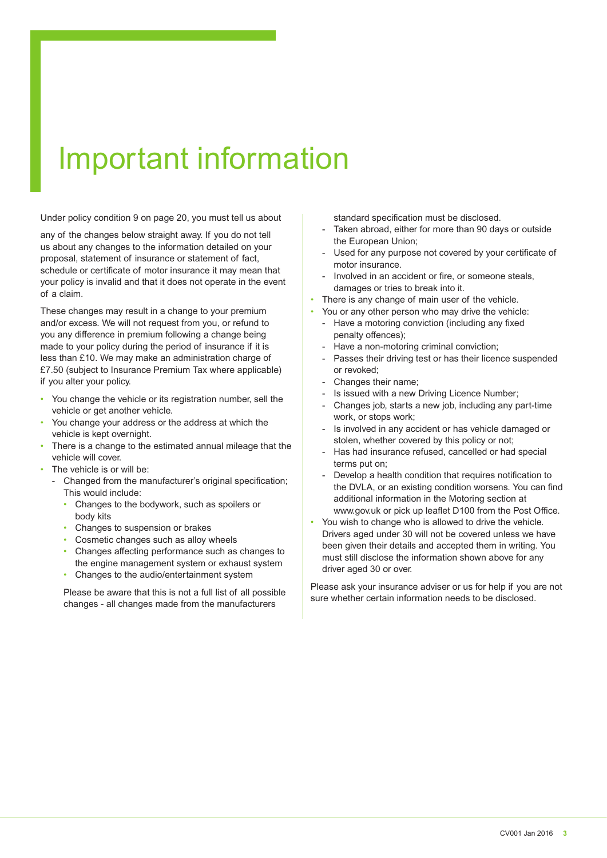# Important information

Under policy condition 9 on page 20, you must tell us about

any of the changes below straight away. If you do not tell us about any changes to the information detailed on your proposal, statement of insurance or statement of fact, schedule or certificate of motor insurance it may mean that your policy is invalid and that it does not operate in the event of a claim.

These changes may result in a change to your premium and/or excess. We will not request from you, or refund to you any difference in premium following a change being made to your policy during the period of insurance if it is less than £10. We may make an administration charge of £7.50 (subject to Insurance Premium Tax where applicable) if you alter your policy.

- You change the vehicle or its registration number, sell the vehicle or get another vehicle.
- You change your address or the address at which the vehicle is kept overnight.
- There is a change to the estimated annual mileage that the vehicle will cover.
- The vehicle is or will be:
	- Changed from the manufacturer's original specification; This would include:
		- Changes to the bodywork, such as spoilers or body kits
		- Changes to suspension or brakes
		- Cosmetic changes such as alloy wheels
		- Changes affecting performance such as changes to the engine management system or exhaust system
		- Changes to the audio/entertainment system

Please be aware that this is not a full list of all possible changes - all changes made from the manufacturers

standard specification must be disclosed.

- Taken abroad, either for more than 90 days or outside the European Union;
- Used for any purpose not covered by your certificate of motor insurance.
- Involved in an accident or fire, or someone steals, damages or tries to break into it.
- There is any change of main user of the vehicle.
- You or any other person who may drive the vehicle:
	- Have a motoring conviction (including any fixed penalty offences);
	- Have a non-motoring criminal conviction:
	- Passes their driving test or has their licence suspended or revoked;
	- Changes their name;
	- Is issued with a new Driving Licence Number;
	- Changes job, starts a new job, including any part-time work, or stops work;
	- Is involved in any accident or has vehicle damaged or stolen, whether covered by this policy or not;
	- Has had insurance refused, cancelled or had special terms put on;
	- Develop a health condition that requires notification to the DVLA, or an existing condition worsens. You can find additional information in the Motoring section at www.gov.uk or pick up leaflet D100 from the Post Office.
- You wish to change who is allowed to drive the vehicle. Drivers aged under 30 will not be covered unless we have been given their details and accepted them in writing. You must still disclose the information shown above for any driver aged 30 or over.

Please ask your insurance adviser or us for help if you are not sure whether certain information needs to be disclosed.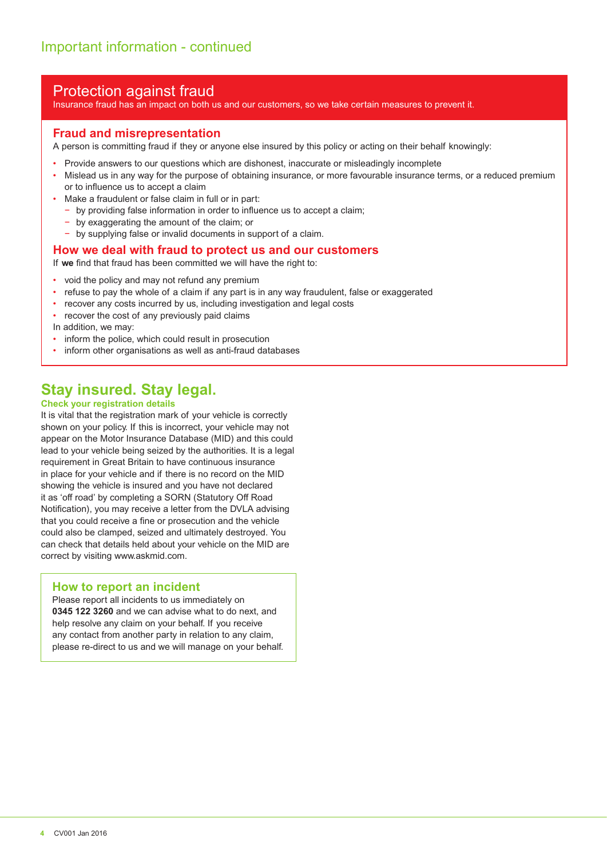### Protection against fraud

Insurance fraud has an impact on both us and our customers, so we take certain measures to prevent it.

#### **Fraud and misrepresentation**

A person is committing fraud if they or anyone else insured by this policy or acting on their behalf knowingly:

- Provide answers to our questions which are dishonest, inaccurate or misleadingly incomplete
- Mislead us in any way for the purpose of obtaining insurance, or more favourable insurance terms, or a reduced premium or to influence us to accept a claim
- Make a fraudulent or false claim in full or in part:
	- − by providing false information in order to influence us to accept a claim;
	- − by exaggerating the amount of the claim; or
	- − by supplying false or invalid documents in support of a claim.

#### **How we deal with fraud to protect us and our customers**

If **we** find that fraud has been committed we will have the right to:

- void the policy and may not refund any premium
- refuse to pay the whole of a claim if any part is in any way fraudulent, false or exaggerated
- recover any costs incurred by us, including investigation and legal costs
- recover the cost of any previously paid claims
- In addition, we may:
- inform the police, which could result in prosecution
- inform other organisations as well as anti-fraud databases

## **Stay insured. Stay legal.**

#### **Check your registration details**

It is vital that the registration mark of your vehicle is correctly shown on your policy. If this is incorrect, your vehicle may not appear on the Motor Insurance Database (MID) and this could lead to your vehicle being seized by the authorities. It is a legal requirement in Great Britain to have continuous insurance in place for your vehicle and if there is no record on the MID showing the vehicle is insured and you have not declared it as 'off road' by completing a SORN (Statutory Off Road Notification), you may receive a letter from the DVLA advising that you could receive a fine or prosecution and the vehicle could also be clamped, seized and ultimately destroyed. You can check that details held about your vehicle on the MID are correct by visiting www.askmid.com.

#### **How to report an incident**

Please report all incidents to us immediately on **0345 122 3260** and we can advise what to do next, and help resolve any claim on your behalf. If you receive any contact from another party in relation to any claim, please re-direct to us and we will manage on your behalf.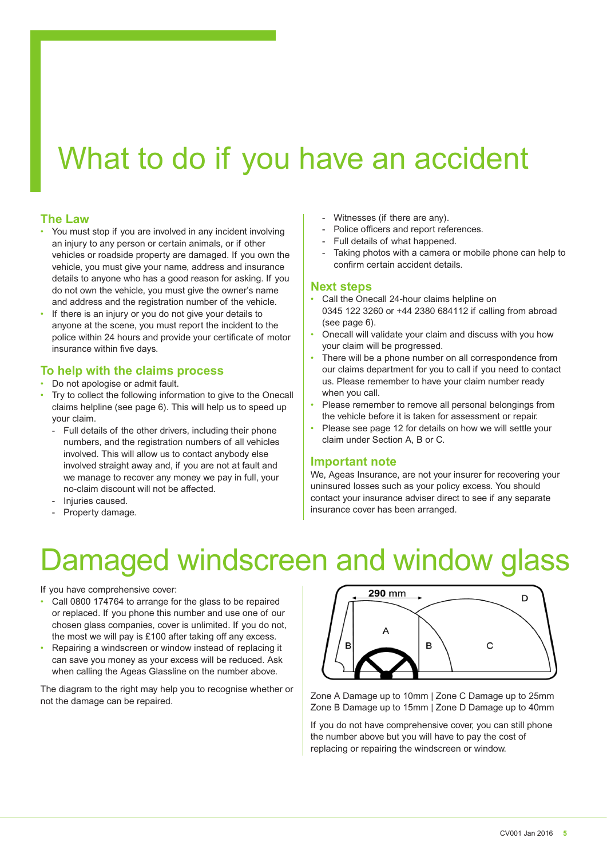# What to do if you have an accident

#### **The Law**

- You must stop if you are involved in any incident involving an injury to any person or certain animals, or if other vehicles or roadside property are damaged. If you own the vehicle, you must give your name, address and insurance details to anyone who has a good reason for asking. If you do not own the vehicle, you must give the owner's name and address and the registration number of the vehicle.
- If there is an injury or you do not give your details to anyone at the scene, you must report the incident to the police within 24 hours and provide your certificate of motor insurance within five days.

#### **To help with the claims process**

- Do not apologise or admit fault.
- Try to collect the following information to give to the Onecall claims helpline (see page 6). This will help us to speed up your claim.
	- Full details of the other drivers, including their phone numbers, and the registration numbers of all vehicles involved. This will allow us to contact anybody else involved straight away and, if you are not at fault and we manage to recover any money we pay in full, your no-claim discount will not be affected.
	- Injuries caused.
	- Property damage.
- Witnesses (if there are any).
- Police officers and report references.
- Full details of what happened.
- Taking photos with a camera or mobile phone can help to confirm certain accident details.

#### **Next steps**

- Call the Onecall 24-hour claims helpline on 0345 122 3260 or +44 2380 684112 if calling from abroad (see page 6).
- Onecall will validate your claim and discuss with you how your claim will be progressed.
- There will be a phone number on all correspondence from our claims department for you to call if you need to contact us. Please remember to have your claim number ready when you call.
- Please remember to remove all personal belongings from the vehicle before it is taken for assessment or repair.
- Please see page 12 for details on how we will settle your claim under Section A, B or C.

#### **Important note**

We, Ageas Insurance, are not your insurer for recovering your uninsured losses such as your policy excess. You should contact your insurance adviser direct to see if any separate insurance cover has been arranged.

# amaged windscreen and window glass

If you have comprehensive cover:

- Call 0800 174764 to arrange for the glass to be repaired or replaced. If you phone this number and use one of our chosen glass companies, cover is unlimited. If you do not, the most we will pay is £100 after taking off any excess.
- Repairing a windscreen or window instead of replacing it can save you money as your excess will be reduced. Ask when calling the Ageas Glassline on the number above.

The diagram to the right may help you to recognise whether or not the damage can be repaired.



Zone A Damage up to 10mm | Zone C Damage up to 25mm Zone B Damage up to 15mm | Zone D Damage up to 40mm

If you do not have comprehensive cover, you can still phone the number above but you will have to pay the cost of replacing or repairing the windscreen or window.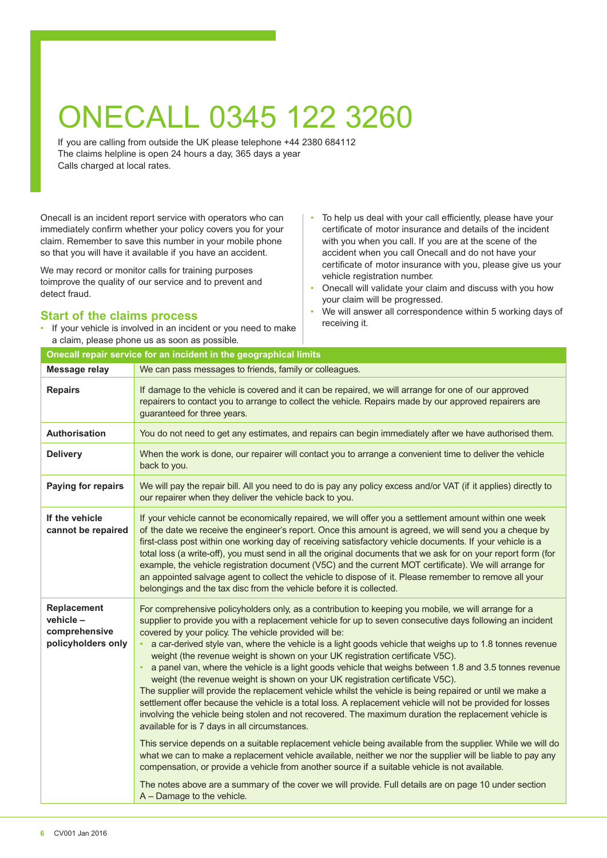# ONECALL 0345 122 3260

If you are calling from outside the UK please telephone +44 2380 684112 The claims helpline is open 24 hours a day, 365 days a year Calls charged at local rates.

Onecall is an incident report service with operators who can immediately confirm whether your policy covers you for your claim. Remember to save this number in your mobile phone so that you will have it available if you have an accident.

We may record or monitor calls for training purposes toimprove the quality of our service and to prevent and detect fraud.

#### **Start of the claims process**

- If your vehicle is involved in an incident or you need to make a claim, please phone us as soon as possible.
- To help us deal with your call efficiently, please have your certificate of motor insurance and details of the incident with you when you call. If you are at the scene of the accident when you call Onecall and do not have your certificate of motor insurance with you, please give us your vehicle registration number.
- Onecall will validate your claim and discuss with you how your claim will be progressed.
- We will answer all correspondence within 5 working days of receiving it.

|                                                                        | Onecall repair service for an incident in the geographical limits                                                                                                                                                                                                                                                                                                                                                                                                                                                                                                                                                                                                                                                                                                                                                                                                                                                                                                                                                                                                                                                                                                                                                                                                                                                                                                                                                                                                                                                               |
|------------------------------------------------------------------------|---------------------------------------------------------------------------------------------------------------------------------------------------------------------------------------------------------------------------------------------------------------------------------------------------------------------------------------------------------------------------------------------------------------------------------------------------------------------------------------------------------------------------------------------------------------------------------------------------------------------------------------------------------------------------------------------------------------------------------------------------------------------------------------------------------------------------------------------------------------------------------------------------------------------------------------------------------------------------------------------------------------------------------------------------------------------------------------------------------------------------------------------------------------------------------------------------------------------------------------------------------------------------------------------------------------------------------------------------------------------------------------------------------------------------------------------------------------------------------------------------------------------------------|
| <b>Message relay</b>                                                   | We can pass messages to friends, family or colleagues.                                                                                                                                                                                                                                                                                                                                                                                                                                                                                                                                                                                                                                                                                                                                                                                                                                                                                                                                                                                                                                                                                                                                                                                                                                                                                                                                                                                                                                                                          |
| <b>Repairs</b>                                                         | If damage to the vehicle is covered and it can be repaired, we will arrange for one of our approved<br>repairers to contact you to arrange to collect the vehicle. Repairs made by our approved repairers are<br>guaranteed for three years.                                                                                                                                                                                                                                                                                                                                                                                                                                                                                                                                                                                                                                                                                                                                                                                                                                                                                                                                                                                                                                                                                                                                                                                                                                                                                    |
| <b>Authorisation</b>                                                   | You do not need to get any estimates, and repairs can begin immediately after we have authorised them.                                                                                                                                                                                                                                                                                                                                                                                                                                                                                                                                                                                                                                                                                                                                                                                                                                                                                                                                                                                                                                                                                                                                                                                                                                                                                                                                                                                                                          |
| <b>Delivery</b>                                                        | When the work is done, our repairer will contact you to arrange a convenient time to deliver the vehicle<br>back to you.                                                                                                                                                                                                                                                                                                                                                                                                                                                                                                                                                                                                                                                                                                                                                                                                                                                                                                                                                                                                                                                                                                                                                                                                                                                                                                                                                                                                        |
| Paying for repairs                                                     | We will pay the repair bill. All you need to do is pay any policy excess and/or VAT (if it applies) directly to<br>our repairer when they deliver the vehicle back to you.                                                                                                                                                                                                                                                                                                                                                                                                                                                                                                                                                                                                                                                                                                                                                                                                                                                                                                                                                                                                                                                                                                                                                                                                                                                                                                                                                      |
| If the vehicle<br>cannot be repaired                                   | If your vehicle cannot be economically repaired, we will offer you a settlement amount within one week<br>of the date we receive the engineer's report. Once this amount is agreed, we will send you a cheque by<br>first-class post within one working day of receiving satisfactory vehicle documents. If your vehicle is a<br>total loss (a write-off), you must send in all the original documents that we ask for on your report form (for<br>example, the vehicle registration document (V5C) and the current MOT certificate). We will arrange for<br>an appointed salvage agent to collect the vehicle to dispose of it. Please remember to remove all your<br>belongings and the tax disc from the vehicle before it is collected.                                                                                                                                                                                                                                                                                                                                                                                                                                                                                                                                                                                                                                                                                                                                                                                     |
| <b>Replacement</b><br>vehicle -<br>comprehensive<br>policyholders only | For comprehensive policyholders only, as a contribution to keeping you mobile, we will arrange for a<br>supplier to provide you with a replacement vehicle for up to seven consecutive days following an incident<br>covered by your policy. The vehicle provided will be:<br>a car-derived style van, where the vehicle is a light goods vehicle that weighs up to 1.8 tonnes revenue<br>weight (the revenue weight is shown on your UK registration certificate V5C).<br>a panel van, where the vehicle is a light goods vehicle that weighs between 1.8 and 3.5 tonnes revenue<br>weight (the revenue weight is shown on your UK registration certificate V5C).<br>The supplier will provide the replacement vehicle whilst the vehicle is being repaired or until we make a<br>settlement offer because the vehicle is a total loss. A replacement vehicle will not be provided for losses<br>involving the vehicle being stolen and not recovered. The maximum duration the replacement vehicle is<br>available for is 7 days in all circumstances.<br>This service depends on a suitable replacement vehicle being available from the supplier. While we will do<br>what we can to make a replacement vehicle available, neither we nor the supplier will be liable to pay any<br>compensation, or provide a vehicle from another source if a suitable vehicle is not available.<br>The notes above are a summary of the cover we will provide. Full details are on page 10 under section<br>$A$ – Damage to the vehicle. |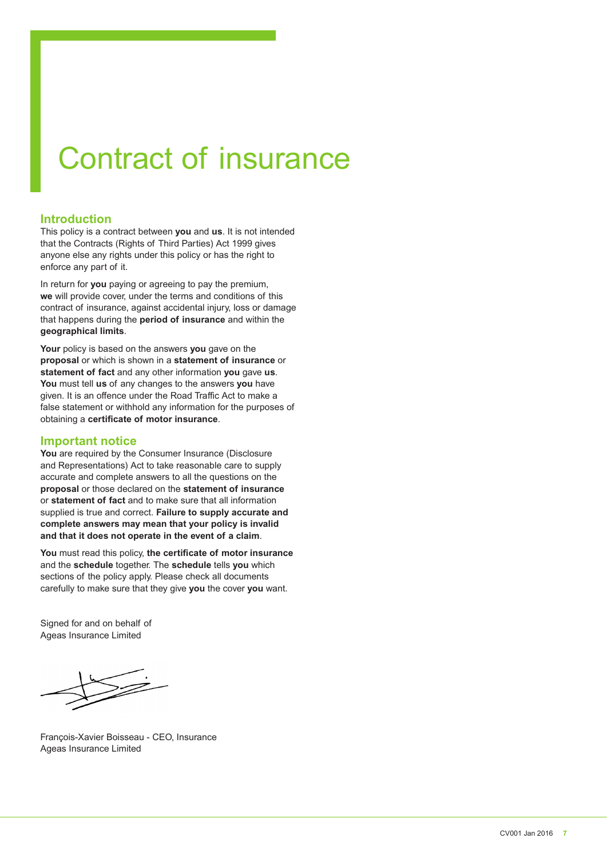# Contract of insurance

#### **Introduction**

This policy is a contract between **you** and **us**. It is not intended that the Contracts (Rights of Third Parties) Act 1999 gives anyone else any rights under this policy or has the right to enforce any part of it.

In return for **you** paying or agreeing to pay the premium, **we** will provide cover, under the terms and conditions of this contract of insurance, against accidental injury, loss or damage that happens during the **period of insurance** and within the **geographical limits**.

**Your** policy is based on the answers **you** gave on the **proposal** or which is shown in a **statement of insurance** or **statement of fact** and any other information **you** gave **us**. **You** must tell **us** of any changes to the answers **you** have given. It is an offence under the Road Traffic Act to make a false statement or withhold any information for the purposes of obtaining a **certificate of motor insurance**.

#### **Important notice**

**You** are required by the Consumer Insurance (Disclosure and Representations) Act to take reasonable care to supply accurate and complete answers to all the questions on the **proposal** or those declared on the **statement of insurance** or **statement of fact** and to make sure that all information supplied is true and correct. **Failure to supply accurate and complete answers may mean that your policy is invalid and that it does not operate in the event of a claim**.

**You** must read this policy, **the certificate of motor insurance** and the **schedule** together. The **schedule** tells **you** which sections of the policy apply. Please check all documents carefully to make sure that they give **you** the cover **you** want.

Signed for and on behalf of Ageas Insurance Limited

François-Xavier Boisseau - CEO, Insurance Ageas Insurance Limited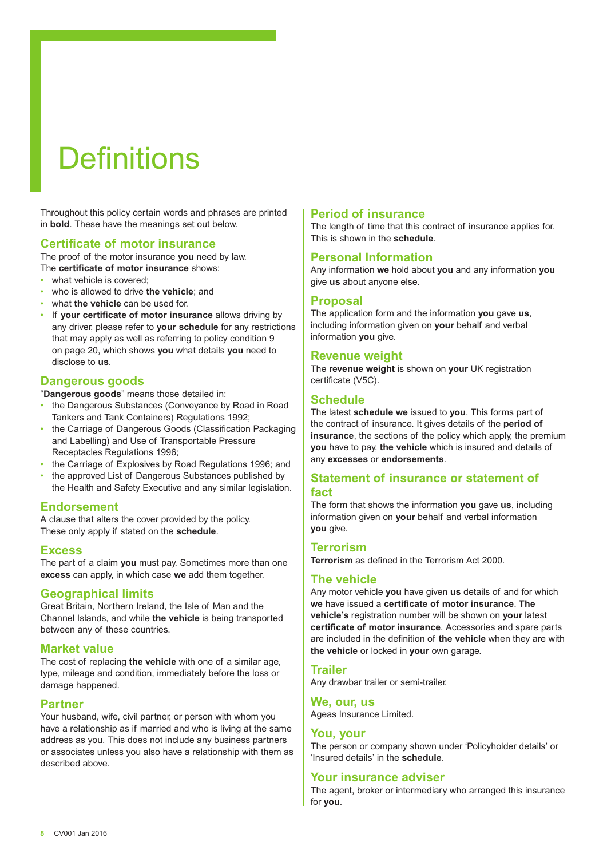# **Definitions**

Throughout this policy certain words and phrases are printed in **bold**. These have the meanings set out below.

#### **Certificate of motor insurance**

The proof of the motor insurance **you** need by law. The **certificate of motor insurance** shows:

- what vehicle is covered:
- who is allowed to drive **the vehicle**; and
- what **the vehicle** can be used for.
- If **your certificate of motor insurance** allows driving by any driver, please refer to **your schedule** for any restrictions that may apply as well as referring to policy condition 9 on page 20, which shows **you** what details **you** need to disclose to **us**.

#### **Dangerous goods**

"**Dangerous goods**" means those detailed in:

- the Dangerous Substances (Conveyance by Road in Road Tankers and Tank Containers) Regulations 1992;
- the Carriage of Dangerous Goods (Classification Packaging and Labelling) and Use of Transportable Pressure Receptacles Regulations 1996;
- the Carriage of Explosives by Road Regulations 1996; and
- the approved List of Dangerous Substances published by the Health and Safety Executive and any similar legislation.

#### **Endorsement**

A clause that alters the cover provided by the policy. These only apply if stated on the **schedule**.

#### **Excess**

The part of a claim **you** must pay. Sometimes more than one **excess** can apply, in which case **we** add them together.

#### **Geographical limits**

Great Britain, Northern Ireland, the Isle of Man and the Channel Islands, and while **the vehicle** is being transported between any of these countries.

#### **Market value**

The cost of replacing **the vehicle** with one of a similar age, type, mileage and condition, immediately before the loss or damage happened.

#### **Partner**

Your husband, wife, civil partner, or person with whom you have a relationship as if married and who is living at the same address as you. This does not include any business partners or associates unless you also have a relationship with them as described above.

#### **Period of insurance**

The length of time that this contract of insurance applies for. This is shown in the **schedule**.

#### **Personal Information**

Any information **we** hold about **you** and any information **you** give **us** about anyone else.

#### **Proposal**

The application form and the information **you** gave **us**, including information given on **your** behalf and verbal information **you** give.

#### **Revenue weight**

The **revenue weight** is shown on **your** UK registration certificate (V5C).

#### **Schedule**

The latest **schedule we** issued to **you**. This forms part of the contract of insurance. It gives details of the **period of insurance**, the sections of the policy which apply, the premium **you** have to pay, **the vehicle** which is insured and details of any **excesses** or **endorsements**.

#### **Statement of insurance or statement of fact**

The form that shows the information **you** gave **us**, including information given on **your** behalf and verbal information **you** give.

#### **Terrorism**

**Terrorism** as defined in the Terrorism Act 2000.

#### **The vehicle**

Any motor vehicle **you** have given **us** details of and for which **we** have issued a **certificate of motor insurance**. **The vehicle's** registration number will be shown on **your** latest **certificate of motor insurance**. Accessories and spare parts are included in the definition of **the vehicle** when they are with **the vehicle** or locked in **your** own garage.

#### **Trailer**

Any drawbar trailer or semi-trailer.

#### **We, our, us**

Ageas Insurance Limited.

#### **You, your**

The person or company shown under 'Policyholder details' or 'Insured details' in the **schedule**.

#### **Your insurance adviser**

The agent, broker or intermediary who arranged this insurance for **you**.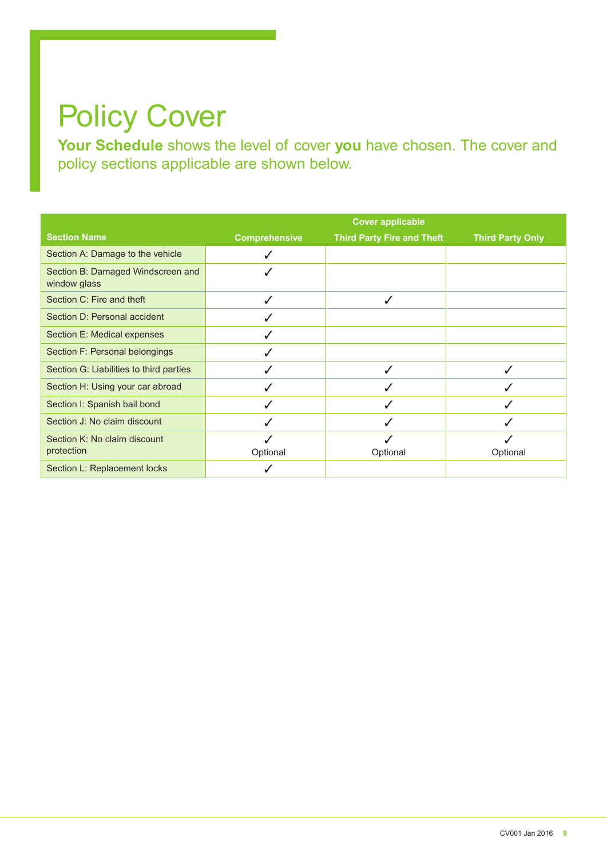# Policy Cover

**Your Schedule** shows the level of cover **you** have chosen. The cover and policy sections applicable are shown below.

|                                                   |                      | <b>Cover applicable</b>           |                         |
|---------------------------------------------------|----------------------|-----------------------------------|-------------------------|
| <b>Section Name</b>                               | <b>Comprehensive</b> | <b>Third Party Fire and Theft</b> | <b>Third Party Only</b> |
| Section A: Damage to the vehicle                  |                      |                                   |                         |
| Section B: Damaged Windscreen and<br>window glass |                      |                                   |                         |
| Section C: Fire and theft                         | ✓                    | J                                 |                         |
| Section D: Personal accident                      | ✓                    |                                   |                         |
| Section E: Medical expenses                       | ✓                    |                                   |                         |
| Section F: Personal belongings                    | ✓                    |                                   |                         |
| Section G: Liabilities to third parties           | ✓                    |                                   | ✓                       |
| Section H: Using your car abroad                  | ✓                    |                                   |                         |
| Section I: Spanish bail bond                      | $\checkmark$         |                                   |                         |
| Section J: No claim discount                      | ✓                    |                                   |                         |
| Section K: No claim discount<br>protection        | Optional             | Optional                          | Optional                |
| Section L: Replacement locks                      |                      |                                   |                         |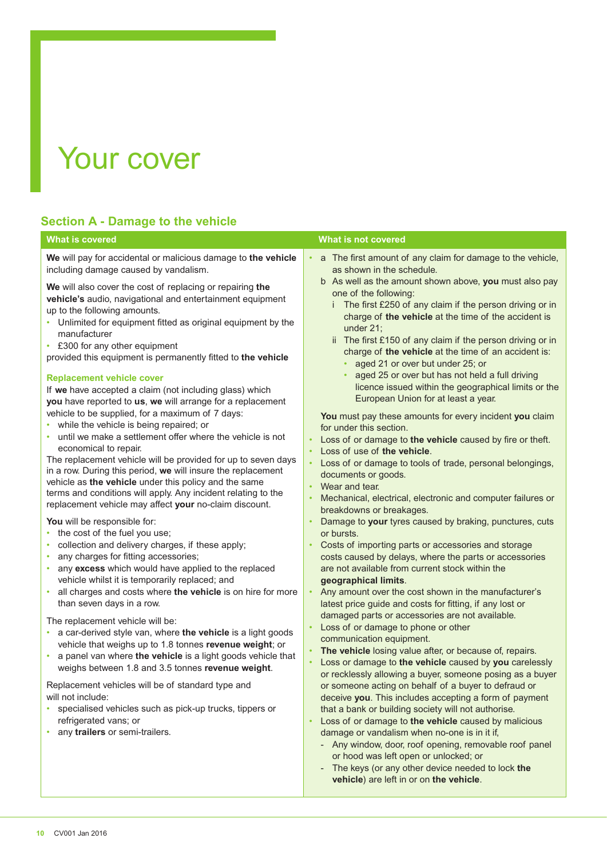# Your cover

### **Section A - Damage to the vehicle**

**We** will pay for accidental or malicious damage to **the vehicle** including damage caused by vandalism.

**We** will also cover the cost of replacing or repairing **the vehicle's** audio, navigational and entertainment equipment up to the following amounts.

- Unlimited for equipment fitted as original equipment by the manufacturer
- £300 for any other equipment

provided this equipment is permanently fitted to **the vehicle**

#### **Replacement vehicle cover**

If **we** have accepted a claim (not including glass) which **you** have reported to **us**, **we** will arrange for a replacement vehicle to be supplied, for a maximum of 7 days:

- while the vehicle is being repaired; or
- until we make a settlement offer where the vehicle is not economical to repair.

The replacement vehicle will be provided for up to seven days in a row. During this period, **we** will insure the replacement vehicle as **the vehicle** under this policy and the same terms and conditions will apply. Any incident relating to the replacement vehicle may affect **your** no-claim discount.

**You** will be responsible for:

- the cost of the fuel you use;
- collection and delivery charges, if these apply:
- any charges for fitting accessories;
- any **excess** which would have applied to the replaced vehicle whilst it is temporarily replaced; and
- all charges and costs where **the vehicle** is on hire for more than seven days in a row.

The replacement vehicle will be:

- a car-derived style van, where **the vehicle** is a light goods vehicle that weighs up to 1.8 tonnes **revenue weight**; or
- a panel van where **the vehicle** is a light goods vehicle that weighs between 1.8 and 3.5 tonnes **revenue weight**.

Replacement vehicles will be of standard type and will not include:

- specialised vehicles such as pick-up trucks, tippers or refrigerated vans; or
- any **trailers** or semi-trailers.

#### **What is covered What is not covered**

- a The first amount of any claim for damage to the vehicle, as shown in the schedule.
	- b As well as the amount shown above, **you** must also pay one of the following:
		- i The first £250 of any claim if the person driving or in charge of **the vehicle** at the time of the accident is under 21;
		- ii The first £150 of any claim if the person driving or in charge of **the vehicle** at the time of an accident is:
			- aged 21 or over but under 25; or
			- aged 25 or over but has not held a full driving licence issued within the geographical limits or the European Union for at least a year.

**You** must pay these amounts for every incident **you** claim for under this section.

- Loss of or damage to the vehicle caused by fire or theft.
- Loss of use of **the vehicle**.
- Loss of or damage to tools of trade, personal belongings, documents or goods.
- Wear and tear.
- Mechanical, electrical, electronic and computer failures or breakdowns or breakages.
- Damage to **your** tyres caused by braking, punctures, cuts or bursts.
- Costs of importing parts or accessories and storage costs caused by delays, where the parts or accessories are not available from current stock within the **geographical limits**.
- Any amount over the cost shown in the manufacturer's latest price guide and costs for fitting, if any lost or damaged parts or accessories are not available.
- Loss of or damage to phone or other communication equipment.
- The vehicle losing value after, or because of, repairs.
- Loss or damage to **the vehicle** caused by **you** carelessly or recklessly allowing a buyer, someone posing as a buyer or someone acting on behalf of a buyer to defraud or deceive **you**. This includes accepting a form of payment that a bank or building society will not authorise.
- Loss of or damage to **the vehicle** caused by malicious damage or vandalism when no-one is in it if,
	- Any window, door, roof opening, removable roof panel or hood was left open or unlocked; or
	- The keys (or any other device needed to lock the **vehicle**) are left in or on **the vehicle**.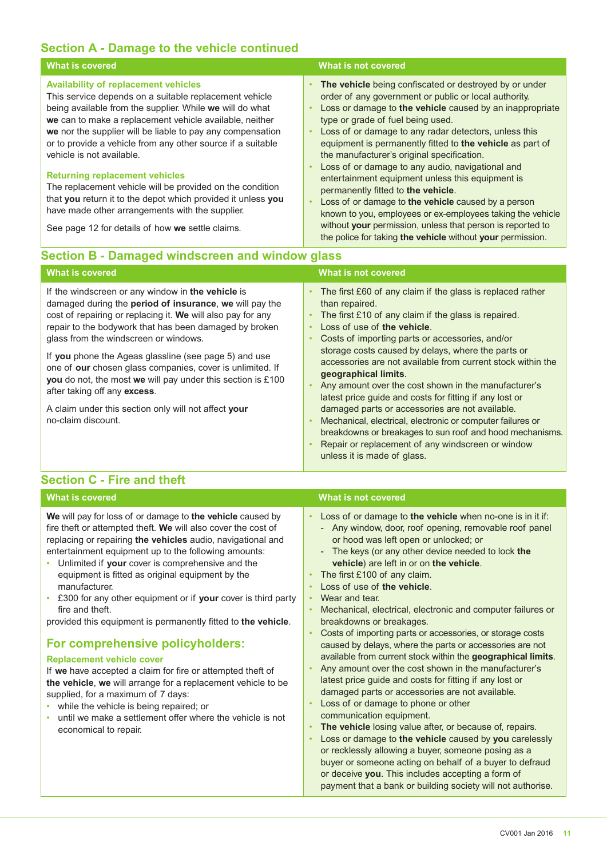### **Section A - Damage to the vehicle continued**

| <b>What is covered</b>                                                                                                                                                                                                                                                                                                                                                                 | What is not covered                                                                                                                                                                                                                                                                                                                                                                                      |
|----------------------------------------------------------------------------------------------------------------------------------------------------------------------------------------------------------------------------------------------------------------------------------------------------------------------------------------------------------------------------------------|----------------------------------------------------------------------------------------------------------------------------------------------------------------------------------------------------------------------------------------------------------------------------------------------------------------------------------------------------------------------------------------------------------|
| <b>Availability of replacement vehicles</b><br>This service depends on a suitable replacement vehicle<br>being available from the supplier. While we will do what<br>we can to make a replacement vehicle available, neither<br>we nor the supplier will be liable to pay any compensation<br>or to provide a vehicle from any other source if a suitable<br>vehicle is not available. | The vehicle being confiscated or destroyed by or under<br>order of any government or public or local authority.<br>Loss or damage to the vehicle caused by an inappropriate<br>type or grade of fuel being used.<br>Loss of or damage to any radar detectors, unless this<br>$\bullet$<br>equipment is permanently fitted to the vehicle as part of<br>the manufacturer's original specification.        |
| <b>Returning replacement vehicles</b><br>The replacement vehicle will be provided on the condition<br>that you return it to the depot which provided it unless you<br>have made other arrangements with the supplier.<br>See page 12 for details of how we settle claims.                                                                                                              | Loss of or damage to any audio, navigational and<br>entertainment equipment unless this equipment is<br>permanently fitted to the vehicle.<br>Loss of or damage to the vehicle caused by a person<br>$\bullet$<br>known to you, employees or ex-employees taking the vehicle<br>without your permission, unless that person is reported to<br>the police for taking the vehicle without your permission. |

### **Section B - Damaged windscreen and window glass**

manufacturer.

| <b>What is covered</b>                                                                                                                                                                                                                                                                                                                                                                                                                                                                                                                                                            | What is not covered                                                                                                                                                                                                                                                                                                                                                                                                                                                                                                                                                                                                                                                                                                                                                                                                                   |
|-----------------------------------------------------------------------------------------------------------------------------------------------------------------------------------------------------------------------------------------------------------------------------------------------------------------------------------------------------------------------------------------------------------------------------------------------------------------------------------------------------------------------------------------------------------------------------------|---------------------------------------------------------------------------------------------------------------------------------------------------------------------------------------------------------------------------------------------------------------------------------------------------------------------------------------------------------------------------------------------------------------------------------------------------------------------------------------------------------------------------------------------------------------------------------------------------------------------------------------------------------------------------------------------------------------------------------------------------------------------------------------------------------------------------------------|
| If the windscreen or any window in the vehicle is<br>damaged during the period of insurance, we will pay the<br>cost of repairing or replacing it. We will also pay for any<br>repair to the bodywork that has been damaged by broken<br>glass from the windscreen or windows.<br>If you phone the Ageas glassline (see page 5) and use<br>one of our chosen glass companies, cover is unlimited. If<br>you do not, the most we will pay under this section is £100<br>after taking off any excess.<br>A claim under this section only will not affect your<br>no-claim discount. | The first £60 of any claim if the glass is replaced rather<br>$\bullet$<br>than repaired.<br>The first £10 of any claim if the glass is repaired.<br>$\bullet$<br>Loss of use of the vehicle.<br>$\bullet$<br>Costs of importing parts or accessories, and/or<br>$\bullet$<br>storage costs caused by delays, where the parts or<br>accessories are not available from current stock within the<br>geographical limits.<br>Any amount over the cost shown in the manufacturer's<br>$\bullet$<br>latest price guide and costs for fitting if any lost or<br>damaged parts or accessories are not available.<br>Mechanical, electrical, electronic or computer failures or<br>$\bullet$<br>breakdowns or breakages to sun roof and hood mechanisms.<br>Repair or replacement of any windscreen or window<br>unless it is made of glass. |
| <b>Section C - Fire and theft</b>                                                                                                                                                                                                                                                                                                                                                                                                                                                                                                                                                 |                                                                                                                                                                                                                                                                                                                                                                                                                                                                                                                                                                                                                                                                                                                                                                                                                                       |
| <b>What is covered</b>                                                                                                                                                                                                                                                                                                                                                                                                                                                                                                                                                            | What is not covered                                                                                                                                                                                                                                                                                                                                                                                                                                                                                                                                                                                                                                                                                                                                                                                                                   |
| We will pay for loss of or damage to the vehicle caused by<br>fire theft or attempted theft. We will also cover the cost of<br>replacing or repairing the vehicles audio, navigational and<br>entertainment equipment up to the following amounts:<br>Unlimited if your cover is comprehensive and the<br>equipment is fitted as original equipment by the                                                                                                                                                                                                                        | Loss of or damage to the vehicle when no-one is in it if:<br>$\bullet$<br>- Any window, door, roof opening, removable roof panel<br>or hood was left open or unlocked; or<br>The keys (or any other device needed to lock the<br>vehicle) are left in or on the vehicle.<br>The first £100 of any claim.<br>$\bullet$                                                                                                                                                                                                                                                                                                                                                                                                                                                                                                                 |

- Loss of use of **the vehicle**.
- £300 for any other equipment or if **your** cover is third party | Wear and tear.
	- Mechanical, electrical, electronic and computer failures or
	- Costs of importing parts or accessories, or storage costs caused by delays, where the parts or accessories are not
	- Any amount over the cost shown in the manufacturer's latest price guide and costs for fitting if any lost or
	- Loss or damage to **the vehicle** caused by **you** carelessly or recklessly allowing a buyer, someone posing as a buyer or someone acting on behalf of a buyer to defraud or deceive **you**. This includes accepting a form of payment that a bank or building society will not authorise.

| fire and theft.<br>provided this equipment is permanently fitted to <b>the vehicle</b> .<br>For comprehensive policyholders:<br><b>Replacement vehicle cover</b><br>If we have accepted a claim for fire or attempted theft of<br>the vehicle, we will arrange for a replacement vehicle to be<br>supplied, for a maximum of 7 days:<br>while the vehicle is being repaired; or<br>until we make a settlement offer where the vehicle is not<br>economical to repair. | Mechanical, electrical, electronic and computer failures or<br>breakdowns or breakages.<br>Costs of importing parts or accessories, or storage costs<br>caused by delays, where the parts or accessories are not<br>available from current stock within the geographical limits.<br>Any amount over the cost shown in the manufacturer's<br>latest price guide and costs for fitting if any lost or<br>damaged parts or accessories are not available.<br>Loss of or damage to phone or other<br>communication equipment.<br>The vehicle losing value after, or because of, repairs.<br>Loss or damage to the vehicle caused by you carelessly<br>or recklessly allowing a buyer, someone posing as a<br>buyer or someone acting on behalf of a buyer to defraud |
|-----------------------------------------------------------------------------------------------------------------------------------------------------------------------------------------------------------------------------------------------------------------------------------------------------------------------------------------------------------------------------------------------------------------------------------------------------------------------|------------------------------------------------------------------------------------------------------------------------------------------------------------------------------------------------------------------------------------------------------------------------------------------------------------------------------------------------------------------------------------------------------------------------------------------------------------------------------------------------------------------------------------------------------------------------------------------------------------------------------------------------------------------------------------------------------------------------------------------------------------------|
|-----------------------------------------------------------------------------------------------------------------------------------------------------------------------------------------------------------------------------------------------------------------------------------------------------------------------------------------------------------------------------------------------------------------------------------------------------------------------|------------------------------------------------------------------------------------------------------------------------------------------------------------------------------------------------------------------------------------------------------------------------------------------------------------------------------------------------------------------------------------------------------------------------------------------------------------------------------------------------------------------------------------------------------------------------------------------------------------------------------------------------------------------------------------------------------------------------------------------------------------------|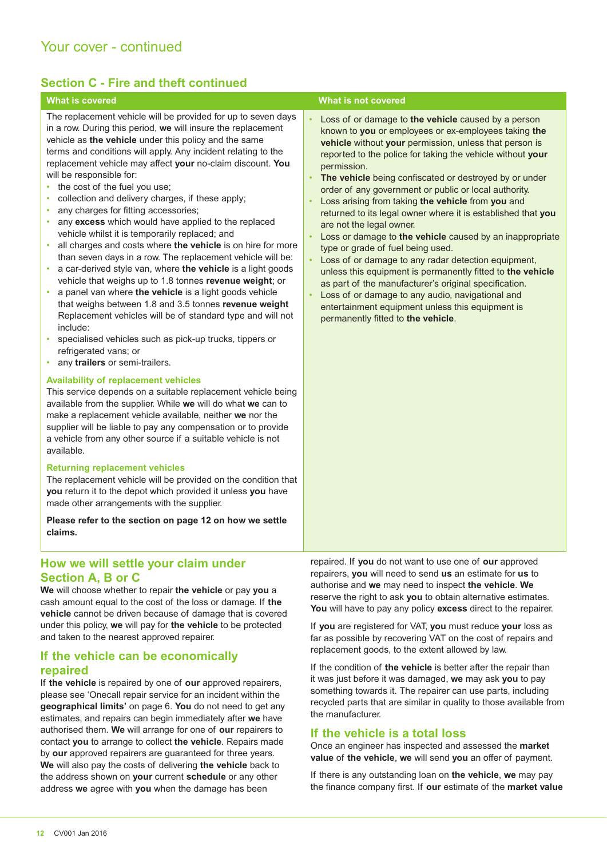### **Section C - Fire and theft continued**

The replacement vehicle will be provided for up to seven days in a row. During this period, **we** will insure the replacement vehicle as **the vehicle** under this policy and the same terms and conditions will apply. Any incident relating to the replacement vehicle may affect **your** no-claim discount. **You**  will be responsible for:

- the cost of the fuel you use:
- collection and delivery charges, if these apply;
- any charges for fitting accessories;
- any **excess** which would have applied to the replaced vehicle whilst it is temporarily replaced; and
- all charges and costs where **the vehicle** is on hire for more than seven days in a row. The replacement vehicle will be:
- a car-derived style van, where **the vehicle** is a light goods vehicle that weighs up to 1.8 tonnes **revenue weight**; or
- a panel van where **the vehicle** is a light goods vehicle that weighs between 1.8 and 3.5 tonnes **revenue weight** Replacement vehicles will be of standard type and will not include:
- specialised vehicles such as pick-up trucks, tippers or refrigerated vans; or
- any **trailers** or semi-trailers.

#### **Availability of replacement vehicles**

This service depends on a suitable replacement vehicle being available from the supplier. While **we** will do what **we** can to make a replacement vehicle available, neither **we** nor the supplier will be liable to pay any compensation or to provide a vehicle from any other source if a suitable vehicle is not available.

#### **Returning replacement vehicles**

The replacement vehicle will be provided on the condition that **you** return it to the depot which provided it unless **you** have made other arrangements with the supplier.

**Please refer to the section on page 12 on how we settle claims.**

#### **How we will settle your claim under Section A, B or C**

**We** will choose whether to repair **the vehicle** or pay **you** a cash amount equal to the cost of the loss or damage. If **the vehicle** cannot be driven because of damage that is covered under this policy, **we** will pay for **the vehicle** to be protected and taken to the nearest approved repairer.

#### **If the vehicle can be economically repaired**

If **the vehicle** is repaired by one of **our** approved repairers, please see 'Onecall repair service for an incident within the **geographical limits'** on page 6. **You** do not need to get any estimates, and repairs can begin immediately after **we** have authorised them. **We** will arrange for one of **our** repairers to contact **you** to arrange to collect **the vehicle**. Repairs made by **our** approved repairers are guaranteed for three years. **We** will also pay the costs of delivering **the vehicle** back to the address shown on **your** current **schedule** or any other address **we** agree with **you** when the damage has been

#### **What is covered What is not covered**

- Loss of or damage to **the vehicle** caused by a person known to **you** or employees or ex-employees taking **the vehicle** without **your** permission, unless that person is reported to the police for taking the vehicle without **your** permission.
- **The vehicle** being confiscated or destroyed by or under order of any government or public or local authority.
- Loss arising from taking **the vehicle** from **you** and returned to its legal owner where it is established that **you** are not the legal owner.
- Loss or damage to **the vehicle** caused by an inappropriate type or grade of fuel being used.
- Loss of or damage to any radar detection equipment, unless this equipment is permanently fitted to **the vehicle** as part of the manufacturer's original specification.
- Loss of or damage to any audio, navigational and entertainment equipment unless this equipment is permanently fitted to **the vehicle**.

repaired. If **you** do not want to use one of **our** approved repairers, **you** will need to send **us** an estimate for **us** to authorise and **we** may need to inspect **the vehicle**. **We**  reserve the right to ask **you** to obtain alternative estimates. **You** will have to pay any policy **excess** direct to the repairer.

If **you** are registered for VAT, **you** must reduce **your** loss as far as possible by recovering VAT on the cost of repairs and replacement goods, to the extent allowed by law.

If the condition of **the vehicle** is better after the repair than it was just before it was damaged, **we** may ask **you** to pay something towards it. The repairer can use parts, including recycled parts that are similar in quality to those available from the manufacturer.

#### **If the vehicle is a total loss**

Once an engineer has inspected and assessed the **market value** of **the vehicle**, **we** will send **you** an offer of payment.

If there is any outstanding loan on **the vehicle**, **we** may pay the finance company first. If **our** estimate of the **market value**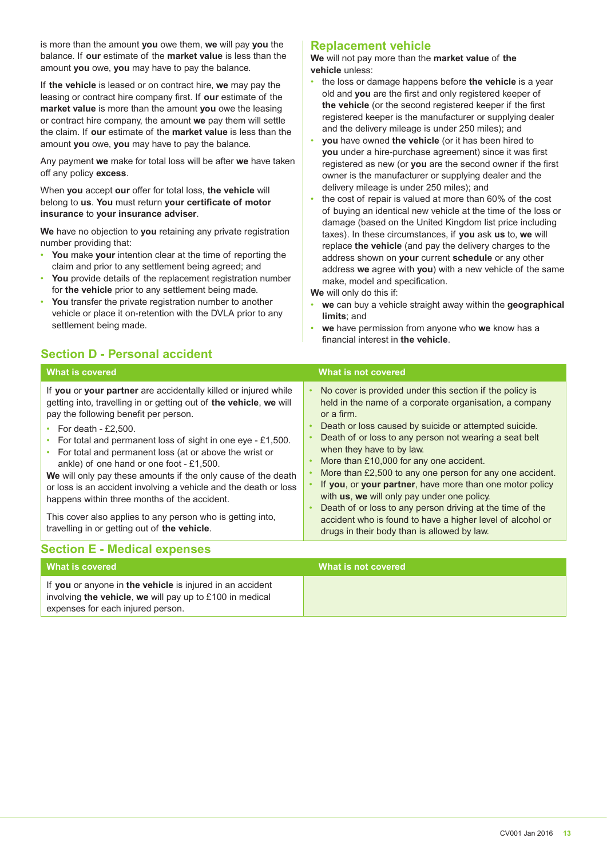is more than the amount **you** owe them, **we** will pay **you** the balance. If **our** estimate of the **market value** is less than the amount **you** owe, **you** may have to pay the balance.

If **the vehicle** is leased or on contract hire, **we** may pay the leasing or contract hire company first. If **our** estimate of the **market value** is more than the amount **you** owe the leasing or contract hire company, the amount **we** pay them will settle the claim. If **our** estimate of the **market value** is less than the amount **you** owe, **you** may have to pay the balance.

Any payment **we** make for total loss will be after **we** have taken off any policy **excess**.

When **you** accept **our** offer for total loss, **the vehicle** will belong to **us**. **You** must return **your certificate of motor insurance** to **your insurance adviser**.

**We** have no objection to **you** retaining any private registration number providing that:

- **You** make **your** intention clear at the time of reporting the claim and prior to any settlement being agreed; and
- **You** provide details of the replacement registration number for **the vehicle** prior to any settlement being made.
- **You** transfer the private registration number to another vehicle or place it on-retention with the DVLA prior to any settlement being made.

#### **Replacement vehicle**

**We** will not pay more than the **market value** of **the vehicle** unless:

- the loss or damage happens before **the vehicle** is a year old and **you** are the first and only registered keeper of **the vehicle** (or the second registered keeper if the first registered keeper is the manufacturer or supplying dealer and the delivery mileage is under 250 miles); and
- **you** have owned **the vehicle** (or it has been hired to **you** under a hire-purchase agreement) since it was first registered as new (or **you** are the second owner if the first owner is the manufacturer or supplying dealer and the delivery mileage is under 250 miles); and
- the cost of repair is valued at more than 60% of the cost of buying an identical new vehicle at the time of the loss or damage (based on the United Kingdom list price including taxes). In these circumstances, if **you** ask **us** to, **we** will replace **the vehicle** (and pay the delivery charges to the address shown on **your** current **schedule** or any other address **we** agree with **you**) with a new vehicle of the same make, model and specification.

**We** will only do this if:

- **we** can buy a vehicle straight away within the **geographical limits**; and
- **we** have permission from anyone who **we** know has a financial interest in **the vehicle**.

## **Section D - Personal accident**

| <b>What is covered</b>                                                                                                                                                                                                                                                                                                                                                                                                                                                                                                                                                                                                                                                           | What is not covered                                                                                                                                                                                                                                                                                                                                                                                                                                                                                                                                                                                                                                                                                                               |
|----------------------------------------------------------------------------------------------------------------------------------------------------------------------------------------------------------------------------------------------------------------------------------------------------------------------------------------------------------------------------------------------------------------------------------------------------------------------------------------------------------------------------------------------------------------------------------------------------------------------------------------------------------------------------------|-----------------------------------------------------------------------------------------------------------------------------------------------------------------------------------------------------------------------------------------------------------------------------------------------------------------------------------------------------------------------------------------------------------------------------------------------------------------------------------------------------------------------------------------------------------------------------------------------------------------------------------------------------------------------------------------------------------------------------------|
| If you or your partner are accidentally killed or injured while<br>getting into, travelling in or getting out of the vehicle, we will<br>pay the following benefit per person.<br>• For death - £2,500.<br>For total and permanent loss of sight in one eye - £1,500.<br>For total and permanent loss (at or above the wrist or<br>ankle) of one hand or one foot $-$ £1,500.<br>We will only pay these amounts if the only cause of the death<br>or loss is an accident involving a vehicle and the death or loss<br>happens within three months of the accident.<br>This cover also applies to any person who is getting into,<br>travelling in or getting out of the vehicle. | No cover is provided under this section if the policy is<br>$\bullet$<br>held in the name of a corporate organisation, a company<br>or a firm.<br>Death or loss caused by suicide or attempted suicide.<br>$\bullet$<br>Death of or loss to any person not wearing a seat belt<br>when they have to by law.<br>More than £10,000 for any one accident.<br>$\bullet$<br>More than £2,500 to any one person for any one accident.<br>If you, or your partner, have more than one motor policy<br>with us, we will only pay under one policy.<br>Death of or loss to any person driving at the time of the<br>$\bullet$<br>accident who is found to have a higher level of alcohol or<br>drugs in their body than is allowed by law. |
| <b>Section E - Medical expenses</b>                                                                                                                                                                                                                                                                                                                                                                                                                                                                                                                                                                                                                                              |                                                                                                                                                                                                                                                                                                                                                                                                                                                                                                                                                                                                                                                                                                                                   |
| <b>What is covered</b>                                                                                                                                                                                                                                                                                                                                                                                                                                                                                                                                                                                                                                                           | <b>What is not covered</b>                                                                                                                                                                                                                                                                                                                                                                                                                                                                                                                                                                                                                                                                                                        |
| If you or anyone in the vehicle is injured in an accident<br>involving the vehicle, we will pay up to £100 in medical<br>expenses for each injured person.                                                                                                                                                                                                                                                                                                                                                                                                                                                                                                                       |                                                                                                                                                                                                                                                                                                                                                                                                                                                                                                                                                                                                                                                                                                                                   |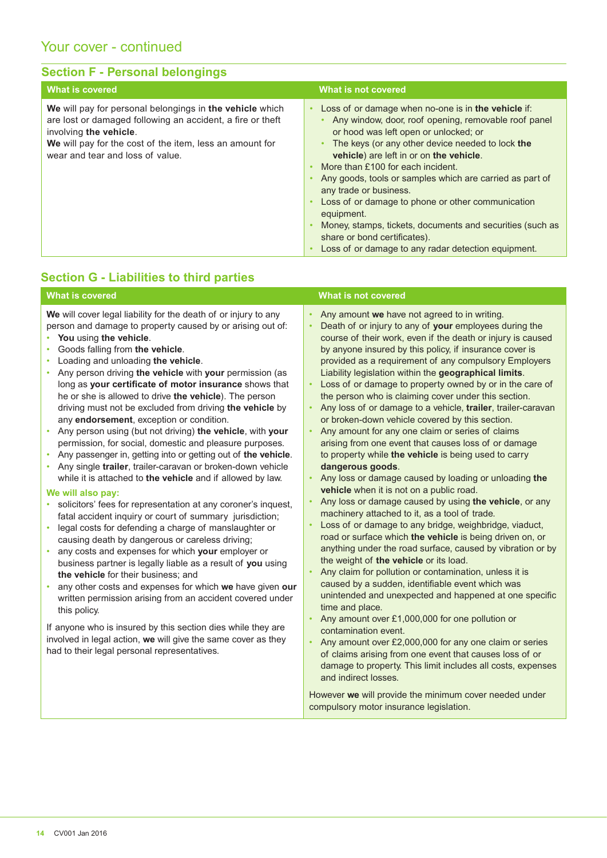# Your cover - continued

### **Section F - Personal belongings**

| What is covered                                                                                                                                                                                                                                  | What is not covered                                                                                                                                                                                                                                                                                                                                                                                                                                                                                                                                                                                   |
|--------------------------------------------------------------------------------------------------------------------------------------------------------------------------------------------------------------------------------------------------|-------------------------------------------------------------------------------------------------------------------------------------------------------------------------------------------------------------------------------------------------------------------------------------------------------------------------------------------------------------------------------------------------------------------------------------------------------------------------------------------------------------------------------------------------------------------------------------------------------|
| We will pay for personal belongings in the vehicle which<br>are lost or damaged following an accident, a fire or theft<br>involving the vehicle.<br>We will pay for the cost of the item, less an amount for<br>wear and tear and loss of value. | Loss of or damage when no-one is in the vehicle if:<br>Any window, door, roof opening, removable roof panel<br>or hood was left open or unlocked; or<br>The keys (or any other device needed to lock the<br>vehicle) are left in or on the vehicle.<br>More than £100 for each incident.<br>Any goods, tools or samples which are carried as part of<br>any trade or business.<br>Loss of or damage to phone or other communication<br>equipment.<br>Money, stamps, tickets, documents and securities (such as<br>share or bond certificates).<br>Loss of or damage to any radar detection equipment. |

## **Section G - Liabilities to third parties**

| <b>What is covered</b>                                                                                                                                                                                                                                                                                                                                                                                                                                                                                                                                                                                                                                                                                                                                                                                                                                                                                                                                                                                                                                                                                                                                                                                                                                                                                                                                                                                                                                                                                                                                                                                                    | <b>What is not covered</b>                                                                                                                                                                                                                                                                                                                                                                                                                                                                                                                                                                                                                                                                                                                                                                                                                                                                                                                                                                                                                                                                                                                                                                                                                                                                                                                                                                                                                                                                                                                                                                                                                                                                                                                                                                                         |
|---------------------------------------------------------------------------------------------------------------------------------------------------------------------------------------------------------------------------------------------------------------------------------------------------------------------------------------------------------------------------------------------------------------------------------------------------------------------------------------------------------------------------------------------------------------------------------------------------------------------------------------------------------------------------------------------------------------------------------------------------------------------------------------------------------------------------------------------------------------------------------------------------------------------------------------------------------------------------------------------------------------------------------------------------------------------------------------------------------------------------------------------------------------------------------------------------------------------------------------------------------------------------------------------------------------------------------------------------------------------------------------------------------------------------------------------------------------------------------------------------------------------------------------------------------------------------------------------------------------------------|--------------------------------------------------------------------------------------------------------------------------------------------------------------------------------------------------------------------------------------------------------------------------------------------------------------------------------------------------------------------------------------------------------------------------------------------------------------------------------------------------------------------------------------------------------------------------------------------------------------------------------------------------------------------------------------------------------------------------------------------------------------------------------------------------------------------------------------------------------------------------------------------------------------------------------------------------------------------------------------------------------------------------------------------------------------------------------------------------------------------------------------------------------------------------------------------------------------------------------------------------------------------------------------------------------------------------------------------------------------------------------------------------------------------------------------------------------------------------------------------------------------------------------------------------------------------------------------------------------------------------------------------------------------------------------------------------------------------------------------------------------------------------------------------------------------------|
| We will cover legal liability for the death of or injury to any<br>person and damage to property caused by or arising out of:<br>You using the vehicle.<br>Goods falling from the vehicle.<br>Loading and unloading the vehicle.<br>Any person driving the vehicle with your permission (as<br>long as your certificate of motor insurance shows that<br>he or she is allowed to drive the vehicle). The person<br>driving must not be excluded from driving the vehicle by<br>any endorsement, exception or condition.<br>Any person using (but not driving) the vehicle, with your<br>permission, for social, domestic and pleasure purposes.<br>Any passenger in, getting into or getting out of the vehicle.<br>Any single trailer, trailer-caravan or broken-down vehicle<br>while it is attached to the vehicle and if allowed by law.<br>We will also pay:<br>solicitors' fees for representation at any coroner's inquest,<br>$\bullet$<br>fatal accident inquiry or court of summary jurisdiction;<br>legal costs for defending a charge of manslaughter or<br>$\bullet$<br>causing death by dangerous or careless driving;<br>any costs and expenses for which your employer or<br>business partner is legally liable as a result of you using<br>the vehicle for their business; and<br>any other costs and expenses for which we have given our<br>written permission arising from an accident covered under<br>this policy.<br>If anyone who is insured by this section dies while they are<br>involved in legal action, we will give the same cover as they<br>had to their legal personal representatives. | Any amount we have not agreed to in writing.<br>$\bullet$<br>Death of or injury to any of your employees during the<br>course of their work, even if the death or injury is caused<br>by anyone insured by this policy, if insurance cover is<br>provided as a requirement of any compulsory Employers<br>Liability legislation within the geographical limits.<br>Loss of or damage to property owned by or in the care of<br>the person who is claiming cover under this section.<br>Any loss of or damage to a vehicle, trailer, trailer-caravan<br>or broken-down vehicle covered by this section.<br>Any amount for any one claim or series of claims<br>$\bullet$<br>arising from one event that causes loss of or damage<br>to property while the vehicle is being used to carry<br>dangerous goods.<br>Any loss or damage caused by loading or unloading the<br>vehicle when it is not on a public road.<br>Any loss or damage caused by using the vehicle, or any<br>machinery attached to it, as a tool of trade.<br>Loss of or damage to any bridge, weighbridge, viaduct,<br>road or surface which the vehicle is being driven on, or<br>anything under the road surface, caused by vibration or by<br>the weight of the vehicle or its load.<br>Any claim for pollution or contamination, unless it is<br>caused by a sudden, identifiable event which was<br>unintended and unexpected and happened at one specific<br>time and place.<br>Any amount over £1,000,000 for one pollution or<br>contamination event.<br>Any amount over £2,000,000 for any one claim or series<br>$\bullet$<br>of claims arising from one event that causes loss of or<br>damage to property. This limit includes all costs, expenses<br>and indirect losses.<br>However we will provide the minimum cover needed under |

compulsory motor insurance legislation.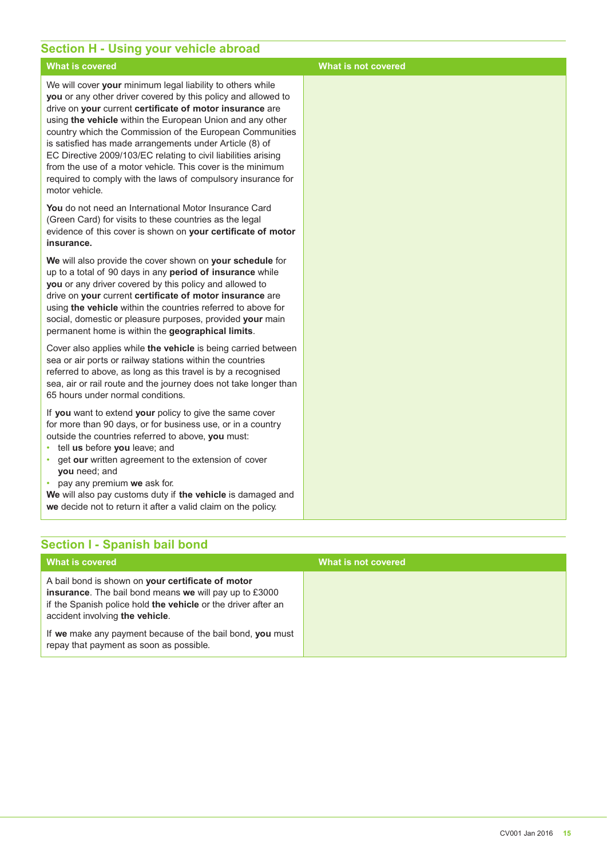### **Section H - Using your vehicle abroad**

#### **What is covered What is not covered** We will cover **your** minimum legal liability to others while **you** or any other driver covered by this policy and allowed to drive on **your** current **certificate of motor insurance** are using **the vehicle** within the European Union and any other country which the Commission of the European Communities is satisfied has made arrangements under Article (8) of EC Directive 2009/103/EC relating to civil liabilities arising from the use of a motor vehicle. This cover is the minimum required to comply with the laws of compulsory insurance for motor vehicle. **You** do not need an International Motor Insurance Card (Green Card) for visits to these countries as the legal evidence of this cover is shown on **your certificate of motor insurance. We** will also provide the cover shown on **your schedule** for up to a total of 90 days in any **period of insurance** while **you** or any driver covered by this policy and allowed to drive on **your** current **certificate of motor insurance** are using **the vehicle** within the countries referred to above for social, domestic or pleasure purposes, provided **your** main permanent home is within the **geographical limits**. Cover also applies while **the vehicle** is being carried between sea or air ports or railway stations within the countries

referred to above, as long as this travel is by a recognised sea, air or rail route and the journey does not take longer than 65 hours under normal conditions.

If **you** want to extend **your** policy to give the same cover for more than 90 days, or for business use, or in a country outside the countries referred to above, **you** must:

- tell **us** before **you** leave; and
- get **our** written agreement to the extension of cover **you** need; and
- pay any premium **we** ask for.

**We** will also pay customs duty if **the vehicle** is damaged and **we** decide not to return it after a valid claim on the policy.

# **Section I - Spanish bail bond**

| What is covered                                                                                                                                                                                                        | What is not covered |
|------------------------------------------------------------------------------------------------------------------------------------------------------------------------------------------------------------------------|---------------------|
| A bail bond is shown on your certificate of motor<br><b>insurance.</b> The bail bond means we will pay up to £3000<br>if the Spanish police hold the vehicle or the driver after an<br>accident involving the vehicle. |                     |
| If we make any payment because of the bail bond, you must<br>repay that payment as soon as possible.                                                                                                                   |                     |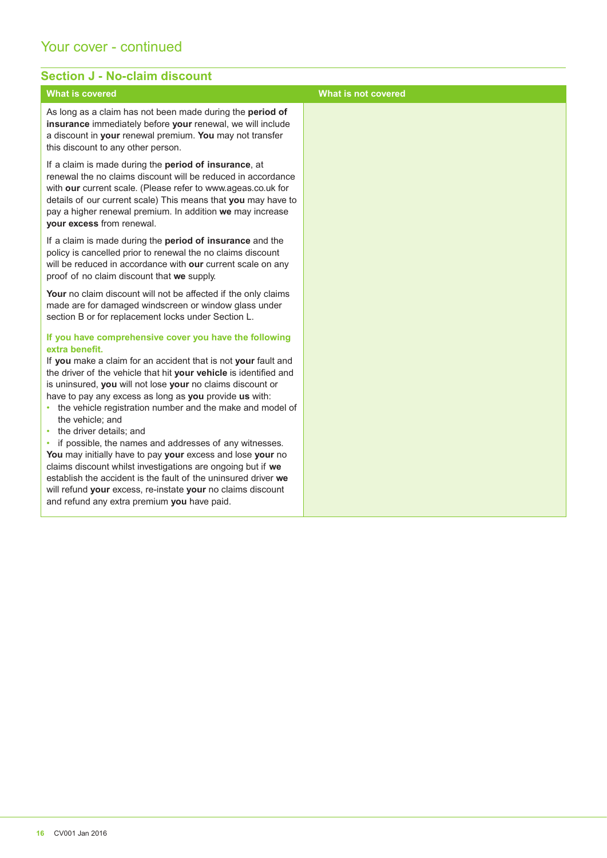### Your cover - continued

#### **Section J - No-claim discount What is covered What is not covered** As long as a claim has not been made during the **period of insurance** immediately before **your** renewal, we will include a discount in **your** renewal premium. **You** may not transfer this discount to any other person. If a claim is made during the **period of insurance**, at renewal the no claims discount will be reduced in accordance with **our** current scale. (Please refer to www.ageas.co.uk for details of our current scale) This means that **you** may have to pay a higher renewal premium. In addition **we** may increase **your excess** from renewal. If a claim is made during the **period of insurance** and the policy is cancelled prior to renewal the no claims discount will be reduced in accordance with **our** current scale on any proof of no claim discount that **we** supply. Your no claim discount will not be affected if the only claims made are for damaged windscreen or window glass under section B or for replacement locks under Section L. **If you have comprehensive cover you have the following extra benefit.** If **you** make a claim for an accident that is not **your** fault and the driver of the vehicle that hit **your vehicle** is identified and is uninsured, **you** will not lose **your** no claims discount or have to pay any excess as long as **you** provide **us** with: • the vehicle registration number and the make and model of the vehicle; and • the driver details; and • if possible, the names and addresses of any witnesses. **You** may initially have to pay **your** excess and lose **your** no claims discount whilst investigations are ongoing but if **we**  establish the accident is the fault of the uninsured driver **we**  will refund **your** excess, re-instate **your** no claims discount and refund any extra premium **you** have paid.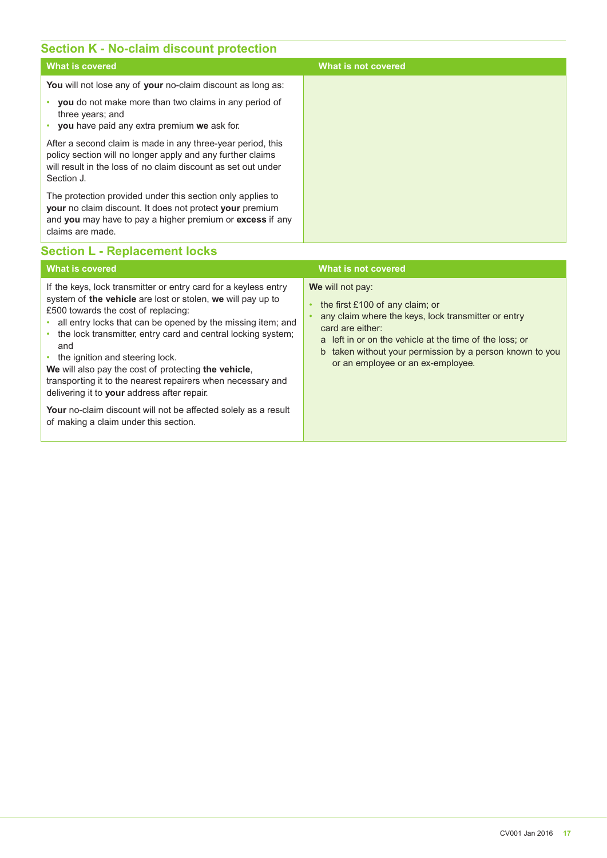### **Section K - No-claim discount protection**

| What is covered                                                                                                                                                                                                | What is not covered |
|----------------------------------------------------------------------------------------------------------------------------------------------------------------------------------------------------------------|---------------------|
| You will not lose any of your no-claim discount as long as:                                                                                                                                                    |                     |
| <b>you</b> do not make more than two claims in any period of<br>three years; and<br>you have paid any extra premium we ask for.                                                                                |                     |
| After a second claim is made in any three-year period, this<br>policy section will no longer apply and any further claims<br>will result in the loss of no claim discount as set out under<br>Section J.       |                     |
| The protection provided under this section only applies to<br><b>your</b> no claim discount. It does not protect your premium<br>and you may have to pay a higher premium or excess if any<br>claims are made. |                     |

### **Section L - Replacement locks**

| <b>What is covered</b>                                                                                                                                                                                                                                                                                                                                                                                                                                                                                                                                                                                                                 | What is not covered                                                                                                                                                                                                                                                                          |
|----------------------------------------------------------------------------------------------------------------------------------------------------------------------------------------------------------------------------------------------------------------------------------------------------------------------------------------------------------------------------------------------------------------------------------------------------------------------------------------------------------------------------------------------------------------------------------------------------------------------------------------|----------------------------------------------------------------------------------------------------------------------------------------------------------------------------------------------------------------------------------------------------------------------------------------------|
| If the keys, lock transmitter or entry card for a keyless entry<br>system of the vehicle are lost or stolen, we will pay up to<br>£500 towards the cost of replacing:<br>all entry locks that can be opened by the missing item; and<br>the lock transmitter, entry card and central locking system;<br>۰<br>and<br>• the ignition and steering lock.<br>We will also pay the cost of protecting the vehicle,<br>transporting it to the nearest repairers when necessary and<br>delivering it to your address after repair.<br>Your no-claim discount will not be affected solely as a result<br>of making a claim under this section. | We will not pay:<br>the first $£100$ of any claim; or<br>any claim where the keys, lock transmitter or entry<br>card are either:<br>a left in or on the vehicle at the time of the loss; or<br>b taken without your permission by a person known to you<br>or an employee or an ex-employee. |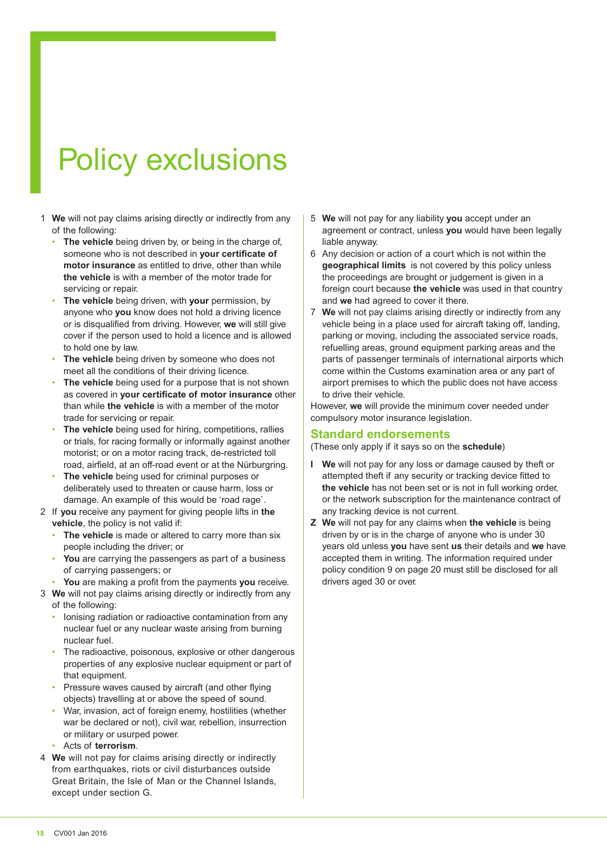# Policy exclusions

- 1 **We** will not pay claims arising directly or indirectly from any of the following:
	- **The vehicle** being driven by, or being in the charge of, someone who is not described in **your certificate of motor insurance** as entitled to drive, other than while **the vehicle** is with a member of the motor trade for servicing or repair.
	- **The vehicle** being driven, with **your** permission, by anyone who **you** know does not hold a driving licence or is disqualified from driving. However, **we** will still give cover if the person used to hold a licence and is allowed to hold one by law.
	- The vehicle being driven by someone who does not meet all the conditions of their driving licence.
	- The vehicle being used for a purpose that is not shown as covered in **your certificate of motor insurance** other than while **the vehicle** is with a member of the motor trade for servicing or repair.
	- **The vehicle** being used for hiring, competitions, rallies or trials, for racing formally or informally against another motorist; or on a motor racing track, de-restricted toll road, airfield, at an off-road event or at the Nürburgring.
	- **The vehicle** being used for criminal purposes or deliberately used to threaten or cause harm, loss or damage. An example of this would be 'road rage`.
- 2 If **you** receive any payment for giving people lifts in **the vehicle**, the policy is not valid if:
	- The vehicle is made or altered to carry more than six people including the driver; or
	- You are carrying the passengers as part of a business of carrying passengers; or
	- **You** are making a profit from the payments **you** receive.
- 3 **We** will not pay claims arising directly or indirectly from any of the following:
	- Ionising radiation or radioactive contamination from any nuclear fuel or any nuclear waste arising from burning nuclear fuel.
	- The radioactive, poisonous, explosive or other dangerous properties of any explosive nuclear equipment or part of that equipment.
	- Pressure waves caused by aircraft (and other flying objects) travelling at or above the speed of sound.
	- War, invasion, act of foreign enemy, hostilities (whether war be declared or not), civil war, rebellion, insurrection or military or usurped power.
	- Acts of **terrorism**.
- 4 **We** will not pay for claims arising directly or indirectly from earthquakes, riots or civil disturbances outside Great Britain, the Isle of Man or the Channel Islands, except under section G.
- 5 **We** will not pay for any liability **you** accept under an agreement or contract, unless **you** would have been legally liable anyway.
- 6 Any decision or action of a court which is not within the **geographical limits** is not covered by this policy unless the proceedings are brought or judgement is given in a foreign court because **the vehicle** was used in that country and **we** had agreed to cover it there.
- 7 **We** will not pay claims arising directly or indirectly from any vehicle being in a place used for aircraft taking off, landing, parking or moving, including the associated service roads, refuelling areas, ground equipment parking areas and the parts of passenger terminals of international airports which come within the Customs examination area or any part of airport premises to which the public does not have access to drive their vehicle.

However, **we** will provide the minimum cover needed under compulsory motor insurance legislation.

#### **Standard endorsements**

(These only apply if it says so on the **schedule**)

- **I We** will not pay for any loss or damage caused by theft or attempted theft if any security or tracking device fitted to **the vehicle** has not been set or is not in full working order, or the network subscription for the maintenance contract of any tracking device is not current.
- **Z We** will not pay for any claims when **the vehicle** is being driven by or is in the charge of anyone who is under 30 years old unless **you** have sent **us** their details and **we** have accepted them in writing. The information required under policy condition 9 on page 20 must still be disclosed for all drivers aged 30 or over.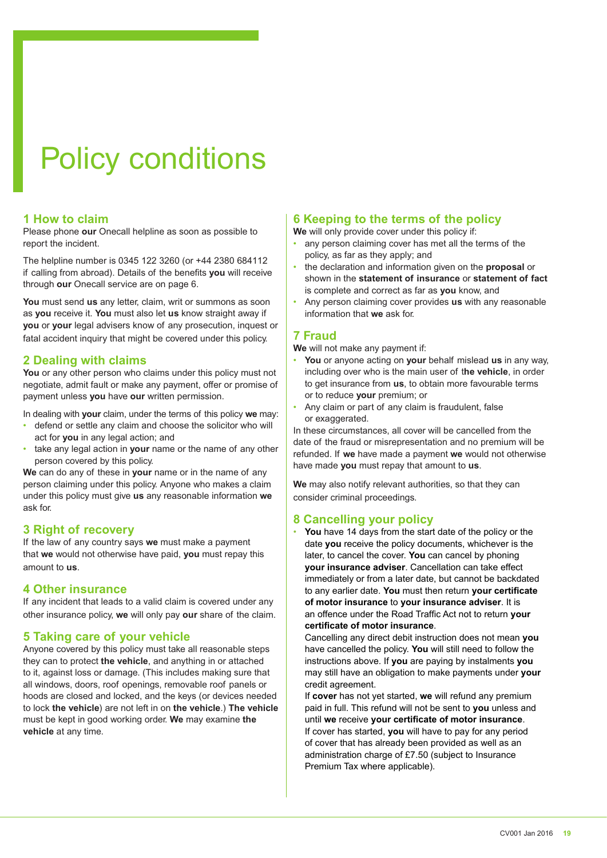# Policy conditions

#### **1 How to claim**

Please phone **our** Onecall helpline as soon as possible to report the incident.

The helpline number is 0345 122 3260 (or +44 2380 684112 if calling from abroad). Details of the benefits **you** will receive through **our** Onecall service are on page 6.

**You** must send **us** any letter, claim, writ or summons as soon as **you** receive it. **You** must also let **us** know straight away if **you** or **your** legal advisers know of any prosecution, inquest or fatal accident inquiry that might be covered under this policy.

#### **2 Dealing with claims**

**You** or any other person who claims under this policy must not negotiate, admit fault or make any payment, offer or promise of payment unless **you** have **our** written permission.

In dealing with **your** claim, under the terms of this policy **we** may:

- defend or settle any claim and choose the solicitor who will act for **you** in any legal action; and
- take any legal action in **your** name or the name of any other person covered by this policy.

**We** can do any of these in **your** name or in the name of any person claiming under this policy. Anyone who makes a claim under this policy must give **us** any reasonable information **we**  ask for.

#### **3 Right of recovery**

If the law of any country says **we** must make a payment that **we** would not otherwise have paid, **you** must repay this amount to **us**.

#### **4 Other insurance**

If any incident that leads to a valid claim is covered under any other insurance policy, **we** will only pay **our** share of the claim.

#### **5 Taking care of your vehicle**

Anyone covered by this policy must take all reasonable steps they can to protect **the vehicle**, and anything in or attached to it, against loss or damage. (This includes making sure that all windows, doors, roof openings, removable roof panels or hoods are closed and locked, and the keys (or devices needed to lock **the vehicle**) are not left in on **the vehicle**.) **The vehicle**  must be kept in good working order. **We** may examine **the vehicle** at any time.

### **6 Keeping to the terms of the policy**

**We** will only provide cover under this policy if:

- any person claiming cover has met all the terms of the policy, as far as they apply; and
- the declaration and information given on the **proposal** or shown in the **statement of insurance** or **statement of fact**  is complete and correct as far as **you** know, and
- Any person claiming cover provides **us** with any reasonable information that **we** ask for.

### **7 Fraud**

**We** will not make any payment if:

- **You** or anyone acting on **your** behalf mislead **us** in any way, including over who is the main user of t**he vehicle**, in order to get insurance from **us**, to obtain more favourable terms or to reduce **your** premium; or
- Any claim or part of any claim is fraudulent, false or exaggerated.

In these circumstances, all cover will be cancelled from the date of the fraud or misrepresentation and no premium will be refunded. If **we** have made a payment **we** would not otherwise have made **you** must repay that amount to **us**.

**We** may also notify relevant authorities, so that they can consider criminal proceedings.

#### **8 Cancelling your policy**

• **You** have 14 days from the start date of the policy or the date **you** receive the policy documents, whichever is the later, to cancel the cover. **You** can cancel by phoning **your insurance adviser**. Cancellation can take effect immediately or from a later date, but cannot be backdated to any earlier date. **You** must then return **your certificate of motor insurance** to **your insurance adviser**. It is an offence under the Road Traffic Act not to return **your certificate of motor insurance**.

Cancelling any direct debit instruction does not mean **you**  have cancelled the policy. **You** will still need to follow the instructions above. If **you** are paying by instalments **you**  may still have an obligation to make payments under **your**  credit agreement.

If **cover** has not yet started, **we** will refund any premium paid in full. This refund will not be sent to **you** unless and until **we** receive **your certificate of motor insurance**. If cover has started, **you** will have to pay for any period of cover that has already been provided as well as an administration charge of £7.50 (subject to Insurance Premium Tax where applicable).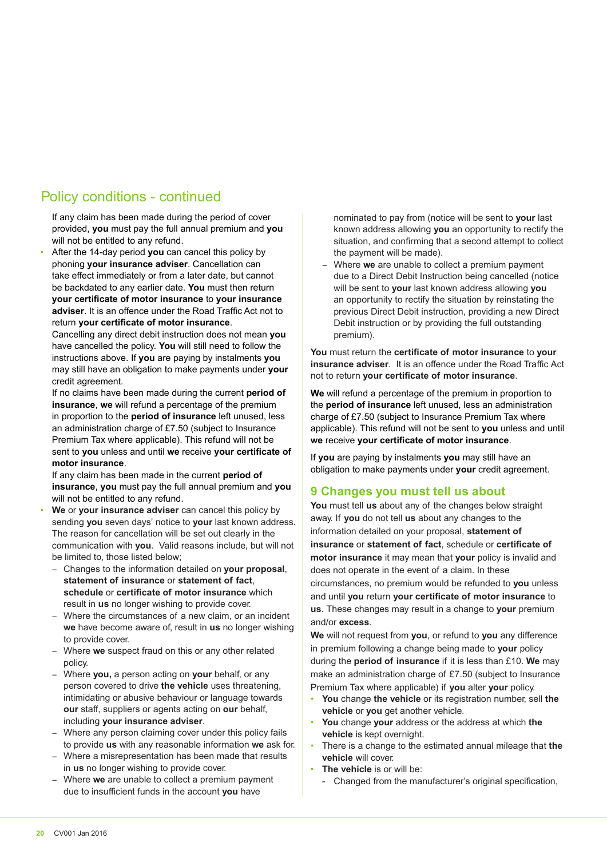## Policy conditions - continued

If any claim has been made during the period of cover provided, **you** must pay the full annual premium and **you**  will not be entitled to any refund.

• After the 14-day period **you** can cancel this policy by phoning **your insurance adviser**. Cancellation can take effect immediately or from a later date, but cannot be backdated to any earlier date. **You** must then return **your certificate of motor insurance** to **your insurance adviser**. It is an offence under the Road Traffic Act not to return **your certificate of motor insurance**.

Cancelling any direct debit instruction does not mean **you**  have cancelled the policy. **You** will still need to follow the instructions above. If **you** are paying by instalments **you**  may still have an obligation to make payments under **your**  credit agreement.

If no claims have been made during the current **period of insurance**, **we** will refund a percentage of the premium in proportion to the **period of insurance** left unused, less an administration charge of £7.50 (subject to Insurance Premium Tax where applicable). This refund will not be sent to **you** unless and until **we** receive **your certificate of motor insurance**.

If any claim has been made in the current **period of insurance**, **you** must pay the full annual premium and **you**  will not be entitled to any refund.

- **We** or **your insurance adviser** can cancel this policy by sending **you** seven days' notice to **your** last known address. The reason for cancellation will be set out clearly in the communication with **you**. Valid reasons include, but will not be limited to, those listed below;
	- Changes to the information detailed on **your proposal**, **statement of insurance** or **statement of fact**, **schedule** or **certificate of motor insurance** which result in **us** no longer wishing to provide cover.
	- Where the circumstances of a new claim, or an incident **we** have become aware of, result in **us** no longer wishing to provide cover.
	- Where we suspect fraud on this or any other related policy.
	- Where you, a person acting on your behalf, or any person covered to drive **the vehicle** uses threatening, intimidating or abusive behaviour or language towards **our** staff, suppliers or agents acting on **our** behalf, including **your insurance adviser**.
	- Where any person claiming cover under this policy fails to provide **us** with any reasonable information **we** ask for.
	- Where a misrepresentation has been made that results in **us** no longer wishing to provide cover.
	- Where we are unable to collect a premium payment due to insufficient funds in the account **you** have

nominated to pay from (notice will be sent to **your** last known address allowing **you** an opportunity to rectify the situation, and confirming that a second attempt to collect the payment will be made).

Where we are unable to collect a premium payment due to a Direct Debit Instruction being cancelled (notice will be sent to **your** last known address allowing **you** an opportunity to rectify the situation by reinstating the previous Direct Debit instruction, providing a new Direct Debit instruction or by providing the full outstanding premium).

**You** must return the **certificate of motor insurance** to **your insurance adviser**. It is an offence under the Road Traffic Act not to return **your certificate of motor insurance**.

**We** will refund a percentage of the premium in proportion to the **period of insurance** left unused, less an administration charge of £7.50 (subject to Insurance Premium Tax where applicable). This refund will not be sent to **you** unless and until **we** receive **your certificate of motor insurance**.

If **you** are paying by instalments **you** may still have an obligation to make payments under **your** credit agreement.

#### **9 Changes you must tell us about**

**You** must tell **us** about any of the changes below straight away. If **you** do not tell **us** about any changes to the information detailed on your proposal, **statement of insurance** or **statement of fact**, schedule or **certificate of motor insurance** it may mean that **your** policy is invalid and does not operate in the event of a claim. In these circumstances, no premium would be refunded to **you** unless and until **you** return **your certificate of motor insurance** to **us**. These changes may result in a change to **your** premium and/or **excess**.

**We** will not request from **you**, or refund to **you** any difference in premium following a change being made to **your** policy during the **period of insurance** if it is less than £10. **We** may make an administration charge of £7.50 (subject to Insurance Premium Tax where applicable) if **you** alter **your** policy.

- **You** change **the vehicle** or its registration number, sell **the vehicle** or **you** get another vehicle.
- **You** change **your** address or the address at which **the vehicle** is kept overnight.
- There is a change to the estimated annual mileage that **the vehicle** will cover.
- **The vehicle** is or will be:
	- Changed from the manufacturer's original specification,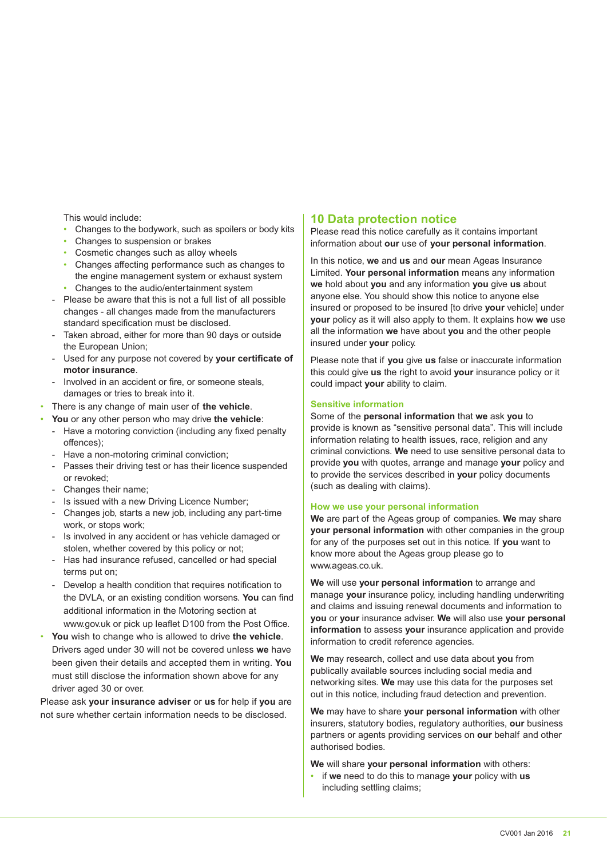This would include:

- Changes to the bodywork, such as spoilers or body kits
- Changes to suspension or brakes
- Cosmetic changes such as alloy wheels
- Changes affecting performance such as changes to the engine management system or exhaust system • Changes to the audio/entertainment system
- Please be aware that this is not a full list of all possible changes - all changes made from the manufacturers standard specification must be disclosed.
- Taken abroad, either for more than 90 days or outside the European Union;
- Used for any purpose not covered by **your certificate of motor insurance**.
- Involved in an accident or fire, or someone steals, damages or tries to break into it.
- There is any change of main user of **the vehicle**.
- **You** or any other person who may drive **the vehicle**:
	- Have a motoring conviction (including any fixed penalty offences);
	- Have a non-motoring criminal conviction;
	- Passes their driving test or has their licence suspended or revoked;
	- Changes their name;
	- Is issued with a new Driving Licence Number;
	- Changes job, starts a new job, including any part-time work, or stops work;
	- Is involved in any accident or has vehicle damaged or stolen, whether covered by this policy or not;
	- Has had insurance refused, cancelled or had special terms put on;
	- Develop a health condition that requires notification to the DVLA, or an existing condition worsens. **You** can find additional information in the Motoring section at www.gov.uk or pick up leaflet D100 from the Post Office.
- **You** wish to change who is allowed to drive **the vehicle**. Drivers aged under 30 will not be covered unless **we** have been given their details and accepted them in writing. **You** must still disclose the information shown above for any driver aged 30 or over.

Please ask **your insurance adviser** or **us** for help if **you** are not sure whether certain information needs to be disclosed.

#### **10 Data protection notice**

Please read this notice carefully as it contains important information about **our** use of **your personal information**.

In this notice, **we** and **us** and **our** mean Ageas Insurance Limited. **Your personal information** means any information **we** hold about **you** and any information **you** give **us** about anyone else. You should show this notice to anyone else insured or proposed to be insured [to drive **your** vehicle] under **your** policy as it will also apply to them. It explains how **we** use all the information **we** have about **you** and the other people insured under **your** policy.

Please note that if **you** give **us** false or inaccurate information this could give **us** the right to avoid **your** insurance policy or it could impact **your** ability to claim.

#### **Sensitive information**

Some of the **personal information** that **we** ask **you** to provide is known as "sensitive personal data". This will include information relating to health issues, race, religion and any criminal convictions. **We** need to use sensitive personal data to provide **you** with quotes, arrange and manage **your** policy and to provide the services described in **your** policy documents (such as dealing with claims).

#### **How we use your personal information**

**We** are part of the Ageas group of companies. **We** may share **your personal information** with other companies in the group for any of the purposes set out in this notice. If **you** want to know more about the Ageas group please go to www.ageas.co.uk.

**We** will use **your personal information** to arrange and manage **your** insurance policy, including handling underwriting and claims and issuing renewal documents and information to **you** or **your** insurance adviser. **We** will also use **your personal information** to assess **your** insurance application and provide information to credit reference agencies.

**We** may research, collect and use data about **you** from publically available sources including social media and networking sites. **We** may use this data for the purposes set out in this notice, including fraud detection and prevention.

**We** may have to share **your personal information** with other insurers, statutory bodies, regulatory authorities, **our** business partners or agents providing services on **our** behalf and other authorised bodies.

**We** will share **your personal information** with others:

• if **we** need to do this to manage **your** policy with **us**  including settling claims;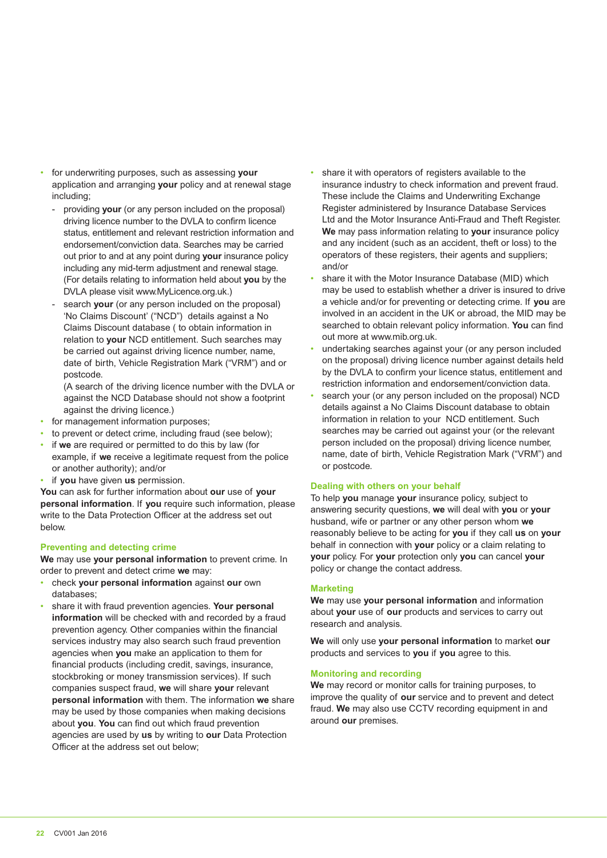- for underwriting purposes, such as assessing **your** application and arranging **your** policy and at renewal stage including;
	- providing **your** (or any person included on the proposal) driving licence number to the DVLA to confirm licence status, entitlement and relevant restriction information and endorsement/conviction data. Searches may be carried out prior to and at any point during **your** insurance policy including any mid-term adjustment and renewal stage. (For details relating to information held about **you** by the DVLA please visit www.MyLicence.org.uk.)
	- search your (or any person included on the proposal) 'No Claims Discount' ("NCD") details against a No Claims Discount database ( to obtain information in relation to **your** NCD entitlement. Such searches may be carried out against driving licence number, name, date of birth, Vehicle Registration Mark ("VRM") and or postcode.
		- (A search of the driving licence number with the DVLA or against the NCD Database should not show a footprint against the driving licence.)
- for management information purposes;
- to prevent or detect crime, including fraud (see below);
- if **we** are required or permitted to do this by law (for example, if **we** receive a legitimate request from the police or another authority); and/or
- if **you** have given **us** permission.

**You** can ask for further information about **our** use of **your personal information**. If **you** require such information, please write to the Data Protection Officer at the address set out below.

#### **Preventing and detecting crime**

**We** may use **your personal information** to prevent crime. In order to prevent and detect crime **we** may:

- check **your personal information** against **our** own databases;
- share it with fraud prevention agencies. **Your personal information** will be checked with and recorded by a fraud prevention agency. Other companies within the financial services industry may also search such fraud prevention agencies when **you** make an application to them for financial products (including credit, savings, insurance, stockbroking or money transmission services). If such companies suspect fraud, **we** will share **your** relevant **personal information** with them. The information **we** share may be used by those companies when making decisions about **you**. **You** can find out which fraud prevention agencies are used by **us** by writing to **our** Data Protection Officer at the address set out below;
- share it with operators of registers available to the insurance industry to check information and prevent fraud. These include the Claims and Underwriting Exchange Register administered by Insurance Database Services Ltd and the Motor Insurance Anti-Fraud and Theft Register. **We** may pass information relating to **your** insurance policy and any incident (such as an accident, theft or loss) to the operators of these registers, their agents and suppliers; and/or
- share it with the Motor Insurance Database (MID) which may be used to establish whether a driver is insured to drive a vehicle and/or for preventing or detecting crime. If **you** are involved in an accident in the UK or abroad, the MID may be searched to obtain relevant policy information. **You** can find out more at www.mib.org.uk.
- undertaking searches against your (or any person included on the proposal) driving licence number against details held by the DVLA to confirm your licence status, entitlement and restriction information and endorsement/conviction data.
- search your (or any person included on the proposal) NCD details against a No Claims Discount database to obtain information in relation to your NCD entitlement. Such searches may be carried out against your (or the relevant person included on the proposal) driving licence number, name, date of birth, Vehicle Registration Mark ("VRM") and or postcode.

#### **Dealing with others on your behalf**

To help **you** manage **your** insurance policy, subject to answering security questions, **we** will deal with **you** or **your**  husband, wife or partner or any other person whom **we**  reasonably believe to be acting for **you** if they call **us** on **your**  behalf in connection with **your** policy or a claim relating to **your** policy. For **your** protection only **you** can cancel **your** policy or change the contact address.

#### **Marketing**

**We** may use **your personal information** and information about **your** use of **our** products and services to carry out research and analysis.

**We** will only use **your personal information** to market **our** products and services to **you** if **you** agree to this.

#### **Monitoring and recording**

**We** may record or monitor calls for training purposes, to improve the quality of **our** service and to prevent and detect fraud. **We** may also use CCTV recording equipment in and around **our** premises.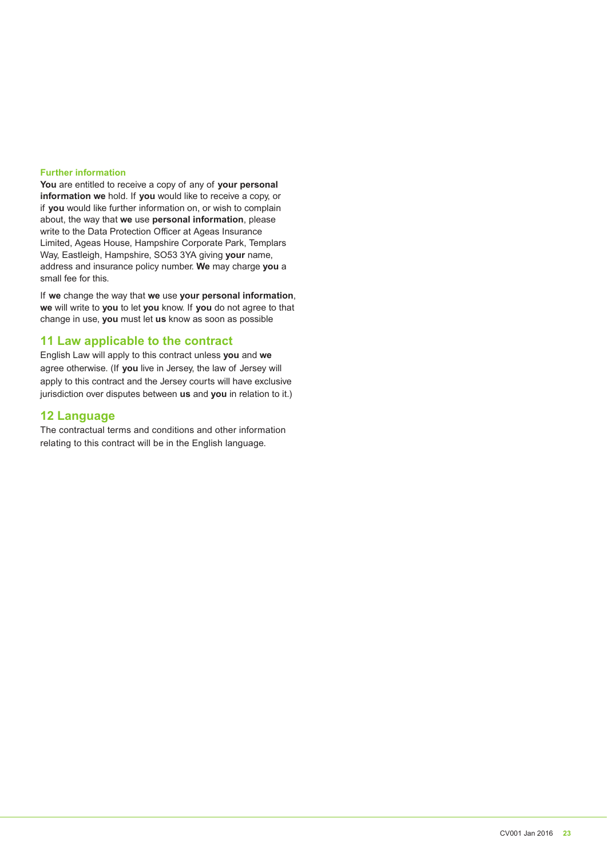#### **Further information**

**You** are entitled to receive a copy of any of **your personal information we** hold. If **you** would like to receive a copy, or if **you** would like further information on, or wish to complain about, the way that **we** use **personal information**, please write to the Data Protection Officer at Ageas Insurance Limited, Ageas House, Hampshire Corporate Park, Templars Way, Eastleigh, Hampshire, SO53 3YA giving **your** name, address and insurance policy number. **We** may charge **you** a small fee for this.

If **we** change the way that **we** use **your personal information**, **we** will write to **you** to let **you** know. If **you** do not agree to that change in use, **you** must let **us** know as soon as possible

#### **11 Law applicable to the contract**

English Law will apply to this contract unless **you** and **we**  agree otherwise. (If **you** live in Jersey, the law of Jersey will apply to this contract and the Jersey courts will have exclusive jurisdiction over disputes between **us** and **you** in relation to it.)

#### **12 Language**

The contractual terms and conditions and other information relating to this contract will be in the English language.